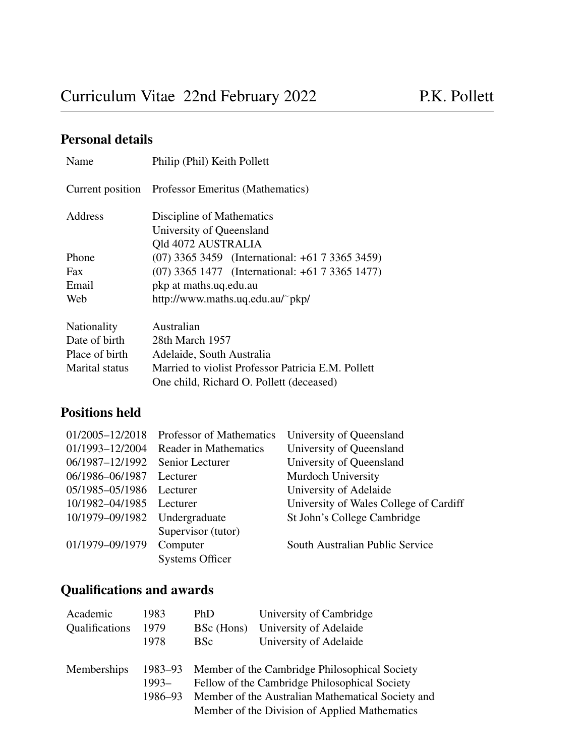# Personal details

| Name           | Philip (Phil) Keith Pollett                        |  |  |
|----------------|----------------------------------------------------|--|--|
|                | Current position Professor Emeritus (Mathematics)  |  |  |
| <b>Address</b> | Discipline of Mathematics                          |  |  |
|                | University of Queensland                           |  |  |
|                | Old 4072 AUSTRALIA                                 |  |  |
| Phone          | (07) 3365 3459 (International: +61 7 3365 3459)    |  |  |
| Fax            | (07) 3365 1477 (International: +61 7 3365 1477)    |  |  |
| Email          | pkp at maths.uq.edu.au                             |  |  |
| Web            | http://www.maths.uq.edu.au/~pkp/                   |  |  |
| Nationality    | Australian                                         |  |  |
| Date of birth  | 28th March 1957                                    |  |  |
| Place of birth | Adelaide, South Australia                          |  |  |
| Marital status | Married to violist Professor Patricia E.M. Pollett |  |  |
|                | One child, Richard O. Pollett (deceased)           |  |  |

# Positions held

| 01/2005-12/2018 | Professor of Mathematics | University of Queensland               |
|-----------------|--------------------------|----------------------------------------|
| 01/1993-12/2004 | Reader in Mathematics    | University of Queensland               |
| 06/1987-12/1992 | Senior Lecturer          | University of Queensland               |
| 06/1986-06/1987 | Lecturer                 | Murdoch University                     |
| 05/1985-05/1986 | Lecturer                 | University of Adelaide                 |
| 10/1982-04/1985 | Lecturer                 | University of Wales College of Cardiff |
| 10/1979-09/1982 | Undergraduate            | St John's College Cambridge            |
|                 | Supervisor (tutor)       |                                        |
| 01/1979-09/1979 | Computer                 | South Australian Public Service        |
|                 | <b>Systems Officer</b>   |                                        |

# Qualifications and awards

| Academic       | 1983               | PhD        | University of Cambridge                                                                                                                                                                                      |
|----------------|--------------------|------------|--------------------------------------------------------------------------------------------------------------------------------------------------------------------------------------------------------------|
| Qualifications | 1979               |            | BSc (Hons) University of Adelaide                                                                                                                                                                            |
|                | 1978               | <b>BSc</b> | University of Adelaide                                                                                                                                                                                       |
| Memberships    | $1993-$<br>1986–93 |            | 1983–93 Member of the Cambridge Philosophical Society<br>Fellow of the Cambridge Philosophical Society<br>Member of the Australian Mathematical Society and<br>Member of the Division of Applied Mathematics |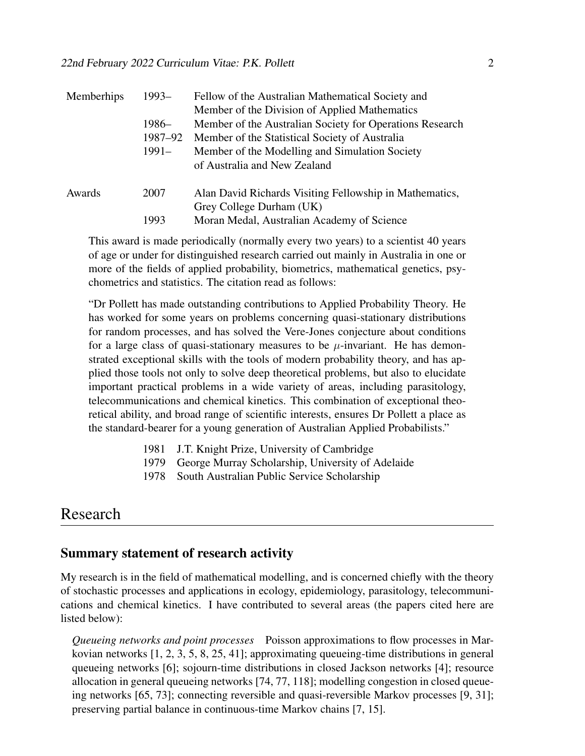| Memberhips | $1993-$ | Fellow of the Australian Mathematical Society and        |
|------------|---------|----------------------------------------------------------|
|            |         | Member of the Division of Applied Mathematics            |
|            | $1986-$ | Member of the Australian Society for Operations Research |
|            | 1987–92 | Member of the Statistical Society of Australia           |
|            | 1991–   | Member of the Modelling and Simulation Society           |
|            |         | of Australia and New Zealand                             |
| Awards     | 2007    | Alan David Richards Visiting Fellowship in Mathematics,  |
|            |         | Grey College Durham (UK)                                 |
|            | 1993    | Moran Medal, Australian Academy of Science               |

This award is made periodically (normally every two years) to a scientist 40 years of age or under for distinguished research carried out mainly in Australia in one or more of the fields of applied probability, biometrics, mathematical genetics, psychometrics and statistics. The citation read as follows:

"Dr Pollett has made outstanding contributions to Applied Probability Theory. He has worked for some years on problems concerning quasi-stationary distributions for random processes, and has solved the Vere-Jones conjecture about conditions for a large class of quasi-stationary measures to be  $\mu$ -invariant. He has demonstrated exceptional skills with the tools of modern probability theory, and has applied those tools not only to solve deep theoretical problems, but also to elucidate important practical problems in a wide variety of areas, including parasitology, telecommunications and chemical kinetics. This combination of exceptional theoretical ability, and broad range of scientific interests, ensures Dr Pollett a place as the standard-bearer for a young generation of Australian Applied Probabilists."

- 1981 J.T. Knight Prize, University of Cambridge
- 1979 George Murray Scholarship, University of Adelaide
- 1978 South Australian Public Service Scholarship

# Research

#### Summary statement of research activity

My research is in the field of mathematical modelling, and is concerned chiefly with the theory of stochastic processes and applications in ecology, epidemiology, parasitology, telecommunications and chemical kinetics. I have contributed to several areas (the papers cited here are listed below):

*Queueing networks and point processes* Poisson approximations to flow processes in Markovian networks [1, 2, 3, 5, 8, 25, 41]; approximating queueing-time distributions in general queueing networks [6]; sojourn-time distributions in closed Jackson networks [4]; resource allocation in general queueing networks [74, 77, 118]; modelling congestion in closed queueing networks [65, 73]; connecting reversible and quasi-reversible Markov processes [9, 31]; preserving partial balance in continuous-time Markov chains [7, 15].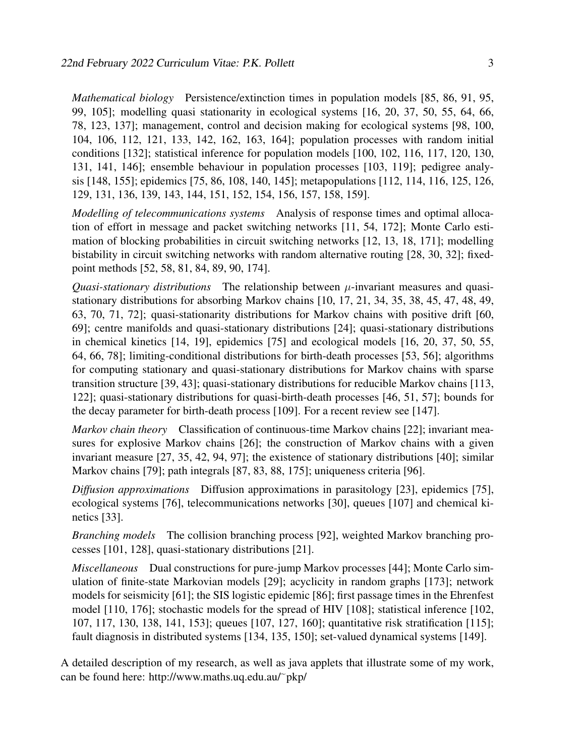*Mathematical biology* Persistence/extinction times in population models [85, 86, 91, 95, 99, 105]; modelling quasi stationarity in ecological systems [16, 20, 37, 50, 55, 64, 66, 78, 123, 137]; management, control and decision making for ecological systems [98, 100, 104, 106, 112, 121, 133, 142, 162, 163, 164]; population processes with random initial conditions [132]; statistical inference for population models [100, 102, 116, 117, 120, 130, 131, 141, 146]; ensemble behaviour in population processes [103, 119]; pedigree analysis [148, 155]; epidemics [75, 86, 108, 140, 145]; metapopulations [112, 114, 116, 125, 126, 129, 131, 136, 139, 143, 144, 151, 152, 154, 156, 157, 158, 159].

*Modelling of telecommunications systems* Analysis of response times and optimal allocation of effort in message and packet switching networks [11, 54, 172]; Monte Carlo estimation of blocking probabilities in circuit switching networks [12, 13, 18, 171]; modelling bistability in circuit switching networks with random alternative routing [28, 30, 32]; fixedpoint methods [52, 58, 81, 84, 89, 90, 174].

*Quasi-stationary distributions* The relationship between  $\mu$ -invariant measures and quasistationary distributions for absorbing Markov chains [10, 17, 21, 34, 35, 38, 45, 47, 48, 49, 63, 70, 71, 72]; quasi-stationarity distributions for Markov chains with positive drift [60, 69]; centre manifolds and quasi-stationary distributions [24]; quasi-stationary distributions in chemical kinetics [14, 19], epidemics [75] and ecological models [16, 20, 37, 50, 55, 64, 66, 78]; limiting-conditional distributions for birth-death processes [53, 56]; algorithms for computing stationary and quasi-stationary distributions for Markov chains with sparse transition structure [39, 43]; quasi-stationary distributions for reducible Markov chains [113, 122]; quasi-stationary distributions for quasi-birth-death processes [46, 51, 57]; bounds for the decay parameter for birth-death process [109]. For a recent review see [147].

*Markov chain theory* Classification of continuous-time Markov chains [22]; invariant measures for explosive Markov chains [26]; the construction of Markov chains with a given invariant measure [27, 35, 42, 94, 97]; the existence of stationary distributions [40]; similar Markov chains [79]; path integrals [87, 83, 88, 175]; uniqueness criteria [96].

*Diffusion approximations* Diffusion approximations in parasitology [23], epidemics [75], ecological systems [76], telecommunications networks [30], queues [107] and chemical kinetics [33].

*Branching models* The collision branching process [92], weighted Markov branching processes [101, 128], quasi-stationary distributions [21].

*Miscellaneous* Dual constructions for pure-jump Markov processes [44]; Monte Carlo simulation of finite-state Markovian models [29]; acyclicity in random graphs [173]; network models for seismicity [61]; the SIS logistic epidemic [86]; first passage times in the Ehrenfest model [110, 176]; stochastic models for the spread of HIV [108]; statistical inference [102, 107, 117, 130, 138, 141, 153]; queues [107, 127, 160]; quantitative risk stratification [115]; fault diagnosis in distributed systems [134, 135, 150]; set-valued dynamical systems [149].

A detailed description of my research, as well as java applets that illustrate some of my work, can be found here: http://www.maths.uq.edu.au/ $\tilde{ }$ pkp/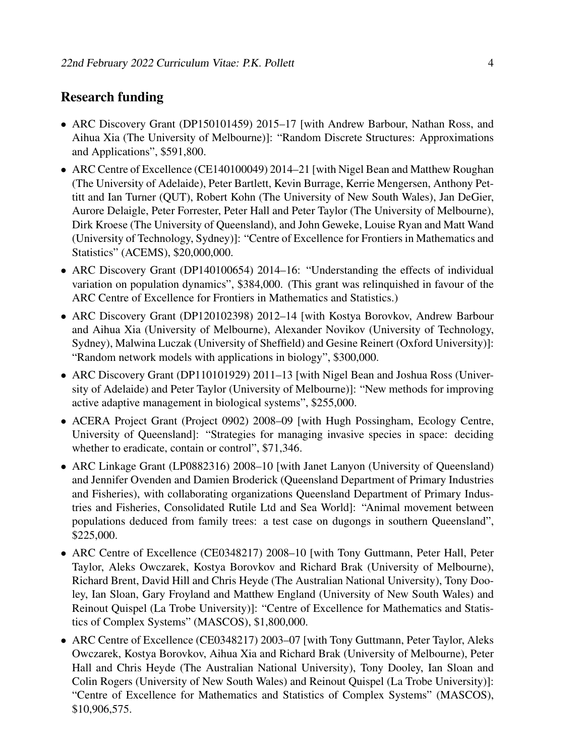### Research funding

- ARC Discovery Grant (DP150101459) 2015–17 [with Andrew Barbour, Nathan Ross, and Aihua Xia (The University of Melbourne)]: "Random Discrete Structures: Approximations and Applications", \$591,800.
- ARC Centre of Excellence (CE140100049) 2014–21 [with Nigel Bean and Matthew Roughan (The University of Adelaide), Peter Bartlett, Kevin Burrage, Kerrie Mengersen, Anthony Pettitt and Ian Turner (QUT), Robert Kohn (The University of New South Wales), Jan DeGier, Aurore Delaigle, Peter Forrester, Peter Hall and Peter Taylor (The University of Melbourne), Dirk Kroese (The University of Queensland), and John Geweke, Louise Ryan and Matt Wand (University of Technology, Sydney)]: "Centre of Excellence for Frontiers in Mathematics and Statistics" (ACEMS), \$20,000,000.
- ARC Discovery Grant (DP140100654) 2014–16: "Understanding the effects of individual variation on population dynamics", \$384,000. (This grant was relinquished in favour of the ARC Centre of Excellence for Frontiers in Mathematics and Statistics.)
- ARC Discovery Grant (DP120102398) 2012–14 [with Kostya Borovkov, Andrew Barbour and Aihua Xia (University of Melbourne), Alexander Novikov (University of Technology, Sydney), Malwina Luczak (University of Sheffield) and Gesine Reinert (Oxford University)]: "Random network models with applications in biology", \$300,000.
- ARC Discovery Grant (DP110101929) 2011–13 [with Nigel Bean and Joshua Ross (University of Adelaide) and Peter Taylor (University of Melbourne)]: "New methods for improving active adaptive management in biological systems", \$255,000.
- ACERA Project Grant (Project 0902) 2008–09 [with Hugh Possingham, Ecology Centre, University of Queensland]: "Strategies for managing invasive species in space: deciding whether to eradicate, contain or control", \$71,346.
- ARC Linkage Grant (LP0882316) 2008–10 [with Janet Lanyon (University of Queensland) and Jennifer Ovenden and Damien Broderick (Queensland Department of Primary Industries and Fisheries), with collaborating organizations Queensland Department of Primary Industries and Fisheries, Consolidated Rutile Ltd and Sea World]: "Animal movement between populations deduced from family trees: a test case on dugongs in southern Queensland", \$225,000.
- ARC Centre of Excellence (CE0348217) 2008–10 [with Tony Guttmann, Peter Hall, Peter Taylor, Aleks Owczarek, Kostya Borovkov and Richard Brak (University of Melbourne), Richard Brent, David Hill and Chris Heyde (The Australian National University), Tony Dooley, Ian Sloan, Gary Froyland and Matthew England (University of New South Wales) and Reinout Quispel (La Trobe University)]: "Centre of Excellence for Mathematics and Statistics of Complex Systems" (MASCOS), \$1,800,000.
- ARC Centre of Excellence (CE0348217) 2003–07 [with Tony Guttmann, Peter Taylor, Aleks Owczarek, Kostya Borovkov, Aihua Xia and Richard Brak (University of Melbourne), Peter Hall and Chris Heyde (The Australian National University), Tony Dooley, Ian Sloan and Colin Rogers (University of New South Wales) and Reinout Quispel (La Trobe University)]: "Centre of Excellence for Mathematics and Statistics of Complex Systems" (MASCOS), \$10,906,575.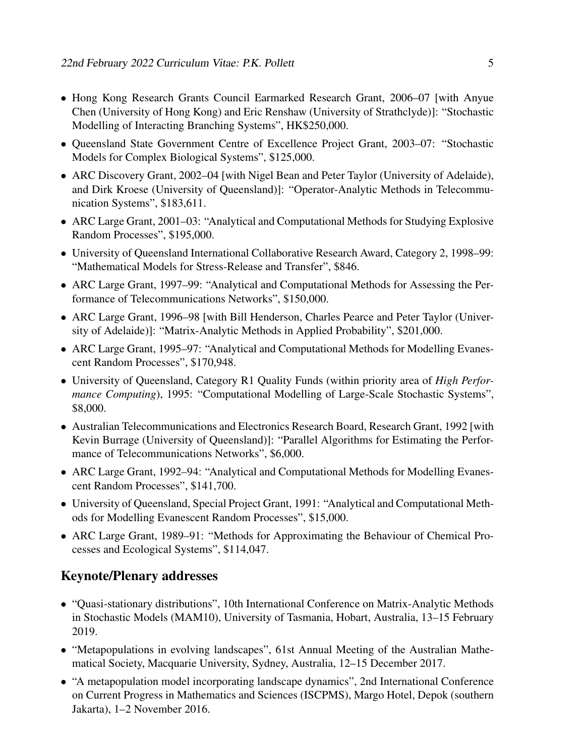- Hong Kong Research Grants Council Earmarked Research Grant, 2006–07 [with Anyue Chen (University of Hong Kong) and Eric Renshaw (University of Strathclyde)]: "Stochastic Modelling of Interacting Branching Systems", HK\$250,000.
- Queensland State Government Centre of Excellence Project Grant, 2003–07: "Stochastic Models for Complex Biological Systems", \$125,000.
- ARC Discovery Grant, 2002–04 [with Nigel Bean and Peter Taylor (University of Adelaide), and Dirk Kroese (University of Queensland)]: "Operator-Analytic Methods in Telecommunication Systems", \$183,611.
- ARC Large Grant, 2001–03: "Analytical and Computational Methods for Studying Explosive Random Processes", \$195,000.
- University of Queensland International Collaborative Research Award, Category 2, 1998–99: "Mathematical Models for Stress-Release and Transfer", \$846.
- ARC Large Grant, 1997–99: "Analytical and Computational Methods for Assessing the Performance of Telecommunications Networks", \$150,000.
- ARC Large Grant, 1996–98 [with Bill Henderson, Charles Pearce and Peter Taylor (University of Adelaide)]: "Matrix-Analytic Methods in Applied Probability", \$201,000.
- ARC Large Grant, 1995–97: "Analytical and Computational Methods for Modelling Evanescent Random Processes", \$170,948.
- University of Queensland, Category R1 Quality Funds (within priority area of *High Performance Computing*), 1995: "Computational Modelling of Large-Scale Stochastic Systems", \$8,000.
- Australian Telecommunications and Electronics Research Board, Research Grant, 1992 [with Kevin Burrage (University of Queensland)]: "Parallel Algorithms for Estimating the Performance of Telecommunications Networks", \$6,000.
- ARC Large Grant, 1992–94: "Analytical and Computational Methods for Modelling Evanescent Random Processes", \$141,700.
- University of Queensland, Special Project Grant, 1991: "Analytical and Computational Methods for Modelling Evanescent Random Processes", \$15,000.
- ARC Large Grant, 1989–91: "Methods for Approximating the Behaviour of Chemical Processes and Ecological Systems", \$114,047.

# Keynote/Plenary addresses

- "Quasi-stationary distributions", 10th International Conference on Matrix-Analytic Methods in Stochastic Models (MAM10), University of Tasmania, Hobart, Australia, 13–15 February 2019.
- "Metapopulations in evolving landscapes", 61st Annual Meeting of the Australian Mathematical Society, Macquarie University, Sydney, Australia, 12–15 December 2017.
- "A metapopulation model incorporating landscape dynamics", 2nd International Conference on Current Progress in Mathematics and Sciences (ISCPMS), Margo Hotel, Depok (southern Jakarta), 1–2 November 2016.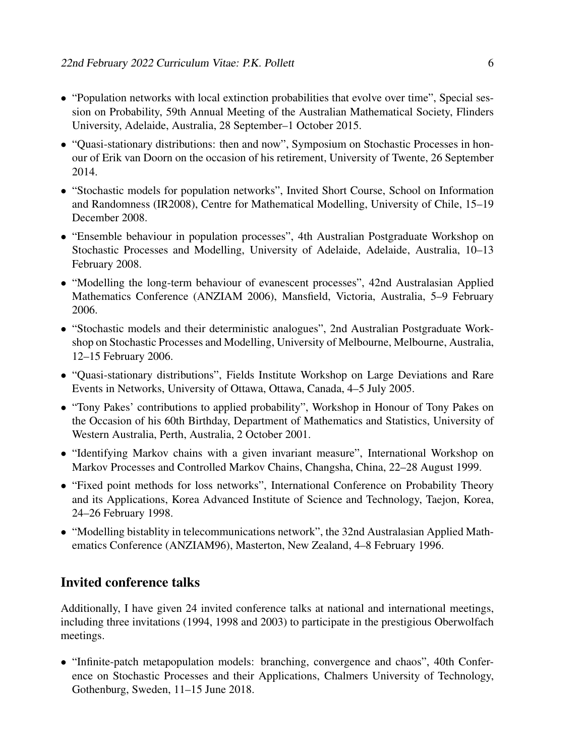- "Population networks with local extinction probabilities that evolve over time", Special session on Probability, 59th Annual Meeting of the Australian Mathematical Society, Flinders University, Adelaide, Australia, 28 September–1 October 2015.
- "Quasi-stationary distributions: then and now", Symposium on Stochastic Processes in honour of Erik van Doorn on the occasion of his retirement, University of Twente, 26 September 2014.
- "Stochastic models for population networks", Invited Short Course, School on Information and Randomness (IR2008), Centre for Mathematical Modelling, University of Chile, 15–19 December 2008.
- "Ensemble behaviour in population processes", 4th Australian Postgraduate Workshop on Stochastic Processes and Modelling, University of Adelaide, Adelaide, Australia, 10–13 February 2008.
- "Modelling the long-term behaviour of evanescent processes", 42nd Australasian Applied Mathematics Conference (ANZIAM 2006), Mansfield, Victoria, Australia, 5–9 February 2006.
- "Stochastic models and their deterministic analogues", 2nd Australian Postgraduate Workshop on Stochastic Processes and Modelling, University of Melbourne, Melbourne, Australia, 12–15 February 2006.
- "Quasi-stationary distributions", Fields Institute Workshop on Large Deviations and Rare Events in Networks, University of Ottawa, Ottawa, Canada, 4–5 July 2005.
- "Tony Pakes' contributions to applied probability", Workshop in Honour of Tony Pakes on the Occasion of his 60th Birthday, Department of Mathematics and Statistics, University of Western Australia, Perth, Australia, 2 October 2001.
- "Identifying Markov chains with a given invariant measure", International Workshop on Markov Processes and Controlled Markov Chains, Changsha, China, 22–28 August 1999.
- "Fixed point methods for loss networks", International Conference on Probability Theory and its Applications, Korea Advanced Institute of Science and Technology, Taejon, Korea, 24–26 February 1998.
- "Modelling bistablity in telecommunications network", the 32nd Australasian Applied Mathematics Conference (ANZIAM96), Masterton, New Zealand, 4–8 February 1996.

### Invited conference talks

Additionally, I have given 24 invited conference talks at national and international meetings, including three invitations (1994, 1998 and 2003) to participate in the prestigious Oberwolfach meetings.

• "Infinite-patch metapopulation models: branching, convergence and chaos", 40th Conference on Stochastic Processes and their Applications, Chalmers University of Technology, Gothenburg, Sweden, 11–15 June 2018.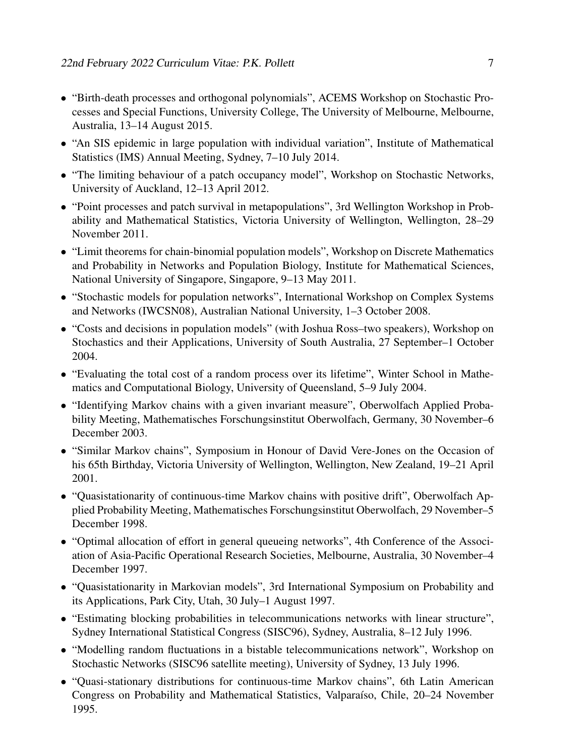- "Birth-death processes and orthogonal polynomials", ACEMS Workshop on Stochastic Processes and Special Functions, University College, The University of Melbourne, Melbourne, Australia, 13–14 August 2015.
- "An SIS epidemic in large population with individual variation", Institute of Mathematical Statistics (IMS) Annual Meeting, Sydney, 7–10 July 2014.
- "The limiting behaviour of a patch occupancy model", Workshop on Stochastic Networks, University of Auckland, 12–13 April 2012.
- "Point processes and patch survival in metapopulations", 3rd Wellington Workshop in Probability and Mathematical Statistics, Victoria University of Wellington, Wellington, 28–29 November 2011.
- "Limit theorems for chain-binomial population models", Workshop on Discrete Mathematics and Probability in Networks and Population Biology, Institute for Mathematical Sciences, National University of Singapore, Singapore, 9–13 May 2011.
- "Stochastic models for population networks", International Workshop on Complex Systems and Networks (IWCSN08), Australian National University, 1–3 October 2008.
- "Costs and decisions in population models" (with Joshua Ross–two speakers), Workshop on Stochastics and their Applications, University of South Australia, 27 September–1 October 2004.
- "Evaluating the total cost of a random process over its lifetime", Winter School in Mathematics and Computational Biology, University of Queensland, 5–9 July 2004.
- "Identifying Markov chains with a given invariant measure", Oberwolfach Applied Probability Meeting, Mathematisches Forschungsinstitut Oberwolfach, Germany, 30 November–6 December 2003.
- "Similar Markov chains", Symposium in Honour of David Vere-Jones on the Occasion of his 65th Birthday, Victoria University of Wellington, Wellington, New Zealand, 19–21 April 2001.
- "Quasistationarity of continuous-time Markov chains with positive drift", Oberwolfach Applied Probability Meeting, Mathematisches Forschungsinstitut Oberwolfach, 29 November–5 December 1998.
- "Optimal allocation of effort in general queueing networks", 4th Conference of the Association of Asia-Pacific Operational Research Societies, Melbourne, Australia, 30 November–4 December 1997.
- "Quasistationarity in Markovian models", 3rd International Symposium on Probability and its Applications, Park City, Utah, 30 July–1 August 1997.
- "Estimating blocking probabilities in telecommunications networks with linear structure", Sydney International Statistical Congress (SISC96), Sydney, Australia, 8–12 July 1996.
- "Modelling random fluctuations in a bistable telecommunications network", Workshop on Stochastic Networks (SISC96 satellite meeting), University of Sydney, 13 July 1996.
- "Quasi-stationary distributions for continuous-time Markov chains", 6th Latin American Congress on Probability and Mathematical Statistics, Valparaíso, Chile, 20–24 November 1995.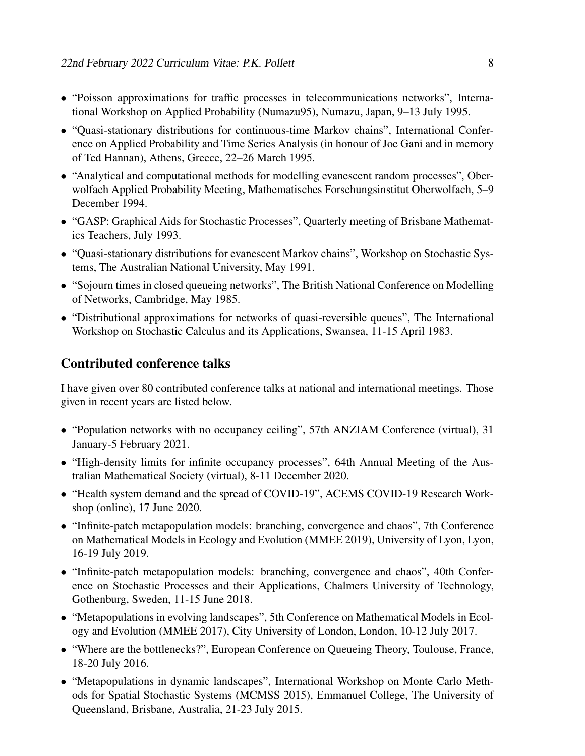- "Poisson approximations for traffic processes in telecommunications networks", International Workshop on Applied Probability (Numazu95), Numazu, Japan, 9–13 July 1995.
- "Quasi-stationary distributions for continuous-time Markov chains", International Conference on Applied Probability and Time Series Analysis (in honour of Joe Gani and in memory of Ted Hannan), Athens, Greece, 22–26 March 1995.
- "Analytical and computational methods for modelling evanescent random processes", Oberwolfach Applied Probability Meeting, Mathematisches Forschungsinstitut Oberwolfach, 5–9 December 1994.
- "GASP: Graphical Aids for Stochastic Processes", Quarterly meeting of Brisbane Mathematics Teachers, July 1993.
- "Quasi-stationary distributions for evanescent Markov chains", Workshop on Stochastic Systems, The Australian National University, May 1991.
- "Sojourn times in closed queueing networks", The British National Conference on Modelling of Networks, Cambridge, May 1985.
- "Distributional approximations for networks of quasi-reversible queues", The International Workshop on Stochastic Calculus and its Applications, Swansea, 11-15 April 1983.

### Contributed conference talks

I have given over 80 contributed conference talks at national and international meetings. Those given in recent years are listed below.

- "Population networks with no occupancy ceiling", 57th ANZIAM Conference (virtual), 31 January-5 February 2021.
- "High-density limits for infinite occupancy processes", 64th Annual Meeting of the Australian Mathematical Society (virtual), 8-11 December 2020.
- "Health system demand and the spread of COVID-19", ACEMS COVID-19 Research Workshop (online), 17 June 2020.
- "Infinite-patch metapopulation models: branching, convergence and chaos", 7th Conference on Mathematical Models in Ecology and Evolution (MMEE 2019), University of Lyon, Lyon, 16-19 July 2019.
- "Infinite-patch metapopulation models: branching, convergence and chaos", 40th Conference on Stochastic Processes and their Applications, Chalmers University of Technology, Gothenburg, Sweden, 11-15 June 2018.
- "Metapopulations in evolving landscapes", 5th Conference on Mathematical Models in Ecology and Evolution (MMEE 2017), City University of London, London, 10-12 July 2017.
- "Where are the bottlenecks?", European Conference on Queueing Theory, Toulouse, France, 18-20 July 2016.
- "Metapopulations in dynamic landscapes", International Workshop on Monte Carlo Methods for Spatial Stochastic Systems (MCMSS 2015), Emmanuel College, The University of Queensland, Brisbane, Australia, 21-23 July 2015.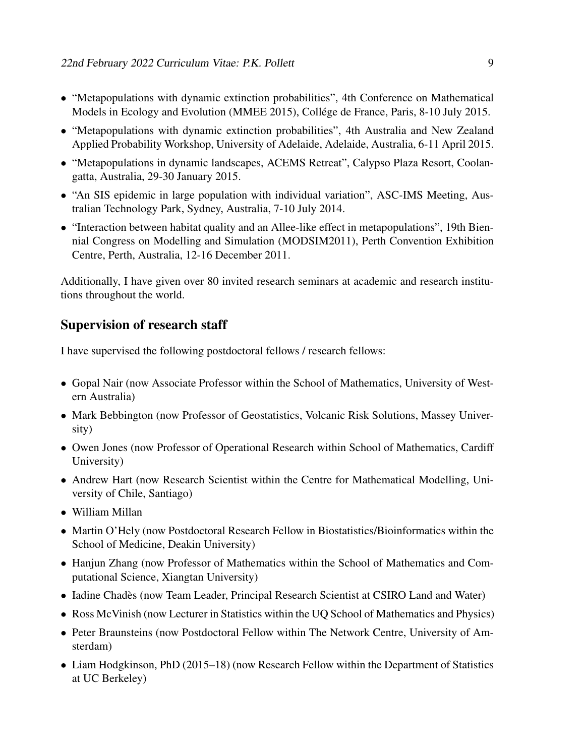- "Metapopulations with dynamic extinction probabilities", 4th Conference on Mathematical Models in Ecology and Evolution (MMEE 2015), Collége de France, Paris, 8-10 July 2015.
- "Metapopulations with dynamic extinction probabilities", 4th Australia and New Zealand Applied Probability Workshop, University of Adelaide, Adelaide, Australia, 6-11 April 2015.
- "Metapopulations in dynamic landscapes, ACEMS Retreat", Calypso Plaza Resort, Coolangatta, Australia, 29-30 January 2015.
- "An SIS epidemic in large population with individual variation", ASC-IMS Meeting, Australian Technology Park, Sydney, Australia, 7-10 July 2014.
- "Interaction between habitat quality and an Allee-like effect in metapopulations", 19th Biennial Congress on Modelling and Simulation (MODSIM2011), Perth Convention Exhibition Centre, Perth, Australia, 12-16 December 2011.

Additionally, I have given over 80 invited research seminars at academic and research institutions throughout the world.

### Supervision of research staff

I have supervised the following postdoctoral fellows / research fellows:

- Gopal Nair (now Associate Professor within the School of Mathematics, University of Western Australia)
- Mark Bebbington (now Professor of Geostatistics, Volcanic Risk Solutions, Massey University)
- Owen Jones (now Professor of Operational Research within School of Mathematics, Cardiff University)
- Andrew Hart (now Research Scientist within the Centre for Mathematical Modelling, University of Chile, Santiago)
- William Millan
- Martin O'Hely (now Postdoctoral Research Fellow in Biostatistics/Bioinformatics within the School of Medicine, Deakin University)
- Hanjun Zhang (now Professor of Mathematics within the School of Mathematics and Computational Science, Xiangtan University)
- Iadine Chadès (now Team Leader, Principal Research Scientist at CSIRO Land and Water)
- Ross McVinish (now Lecturer in Statistics within the UQ School of Mathematics and Physics)
- Peter Braunsteins (now Postdoctoral Fellow within The Network Centre, University of Amsterdam)
- Liam Hodgkinson, PhD (2015–18) (now Research Fellow within the Department of Statistics at UC Berkeley)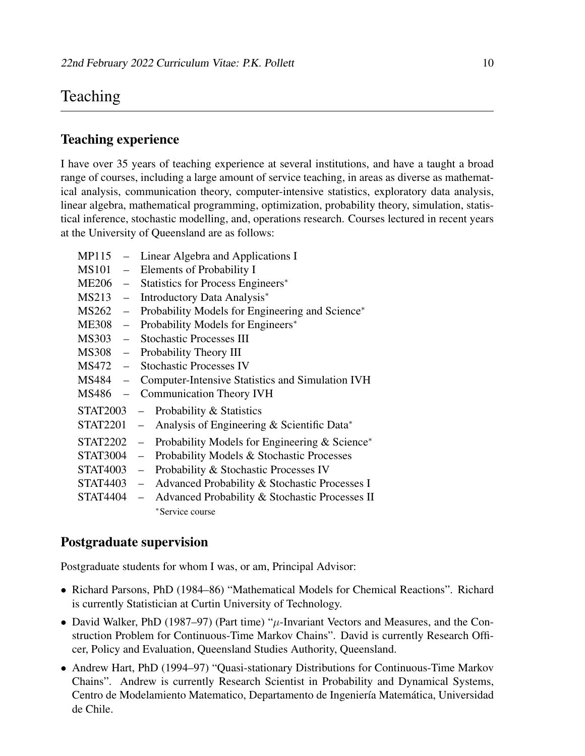# Teaching

### Teaching experience

I have over 35 years of teaching experience at several institutions, and have a taught a broad range of courses, including a large amount of service teaching, in areas as diverse as mathematical analysis, communication theory, computer-intensive statistics, exploratory data analysis, linear algebra, mathematical programming, optimization, probability theory, simulation, statistical inference, stochastic modelling, and, operations research. Courses lectured in recent years at the University of Queensland are as follows:

| MP115           |                   | Linear Algebra and Applications I                                   |
|-----------------|-------------------|---------------------------------------------------------------------|
| <b>MS101</b>    | $\equiv$          | Elements of Probability I                                           |
| <b>ME206</b>    | $\qquad \qquad -$ | Statistics for Process Engineers*                                   |
| MS213           | $\equiv$          | Introductory Data Analysis*                                         |
| MS262           | $\qquad \qquad -$ | Probability Models for Engineering and Science*                     |
| <b>ME308</b>    | $\qquad \qquad =$ | Probability Models for Engineers*                                   |
| MS303           | $\equiv$          | <b>Stochastic Processes III</b>                                     |
| <b>MS308</b>    | $\qquad \qquad =$ | Probability Theory III                                              |
| MS472           | $\equiv$          | <b>Stochastic Processes IV</b>                                      |
| MS484           | $\equiv$          | <b>Computer-Intensive Statistics and Simulation IVH</b>             |
| MS486           |                   | <b>Communication Theory IVH</b>                                     |
| <b>STAT2003</b> |                   | Probability & Statistics                                            |
| <b>STAT2201</b> |                   | Analysis of Engineering & Scientific Data*<br>$\equiv$              |
| <b>STAT2202</b> |                   | Probability Models for Engineering & Science*<br>$\equiv$           |
| <b>STAT3004</b> |                   | Probability Models & Stochastic Processes<br>$\qquad \qquad -$      |
| <b>STAT4003</b> |                   | Probability & Stochastic Processes IV<br>$\equiv$                   |
| <b>STAT4403</b> |                   | Advanced Probability & Stochastic Processes I<br>$\qquad \qquad -$  |
| <b>STAT4404</b> |                   | Advanced Probability & Stochastic Processes II<br>$\qquad \qquad -$ |
|                 |                   | *Service course                                                     |

### Postgraduate supervision

Postgraduate students for whom I was, or am, Principal Advisor:

- Richard Parsons, PhD (1984–86) "Mathematical Models for Chemical Reactions". Richard is currently Statistician at Curtin University of Technology.
- David Walker, PhD (1987–97) (Part time) " $\mu$ -Invariant Vectors and Measures, and the Construction Problem for Continuous-Time Markov Chains". David is currently Research Officer, Policy and Evaluation, Queensland Studies Authority, Queensland.
- Andrew Hart, PhD (1994–97) "Quasi-stationary Distributions for Continuous-Time Markov Chains". Andrew is currently Research Scientist in Probability and Dynamical Systems, Centro de Modelamiento Matematico, Departamento de Ingeniería Matemática, Universidad de Chile.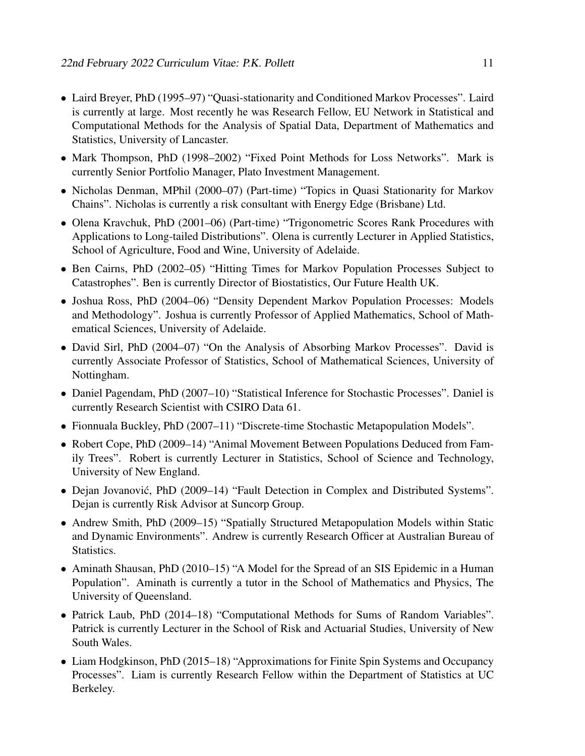- Laird Breyer, PhD (1995–97) "Quasi-stationarity and Conditioned Markov Processes". Laird is currently at large. Most recently he was Research Fellow, EU Network in Statistical and Computational Methods for the Analysis of Spatial Data, Department of Mathematics and Statistics, University of Lancaster.
- Mark Thompson, PhD (1998–2002) "Fixed Point Methods for Loss Networks". Mark is currently Senior Portfolio Manager, Plato Investment Management.
- Nicholas Denman, MPhil (2000–07) (Part-time) "Topics in Quasi Stationarity for Markov Chains". Nicholas is currently a risk consultant with Energy Edge (Brisbane) Ltd.
- Olena Kravchuk, PhD (2001–06) (Part-time) "Trigonometric Scores Rank Procedures with Applications to Long-tailed Distributions". Olena is currently Lecturer in Applied Statistics, School of Agriculture, Food and Wine, University of Adelaide.
- Ben Cairns, PhD (2002–05) "Hitting Times for Markov Population Processes Subject to Catastrophes". Ben is currently Director of Biostatistics, Our Future Health UK.
- Joshua Ross, PhD (2004–06) "Density Dependent Markov Population Processes: Models and Methodology". Joshua is currently Professor of Applied Mathematics, School of Mathematical Sciences, University of Adelaide.
- David Sirl, PhD (2004–07) "On the Analysis of Absorbing Markov Processes". David is currently Associate Professor of Statistics, School of Mathematical Sciences, University of Nottingham.
- Daniel Pagendam, PhD (2007–10) "Statistical Inference for Stochastic Processes". Daniel is currently Research Scientist with CSIRO Data 61.
- Fionnuala Buckley, PhD (2007–11) "Discrete-time Stochastic Metapopulation Models".
- Robert Cope, PhD (2009–14) "Animal Movement Between Populations Deduced from Family Trees". Robert is currently Lecturer in Statistics, School of Science and Technology, University of New England.
- Dejan Jovanovic, PhD (2009–14) "Fault Detection in Complex and Distributed Systems". ´ Dejan is currently Risk Advisor at Suncorp Group.
- Andrew Smith, PhD (2009–15) "Spatially Structured Metapopulation Models within Static and Dynamic Environments". Andrew is currently Research Officer at Australian Bureau of Statistics.
- Aminath Shausan, PhD (2010–15) "A Model for the Spread of an SIS Epidemic in a Human Population". Aminath is currently a tutor in the School of Mathematics and Physics, The University of Queensland.
- Patrick Laub, PhD (2014–18) "Computational Methods for Sums of Random Variables". Patrick is currently Lecturer in the School of Risk and Actuarial Studies, University of New South Wales.
- Liam Hodgkinson, PhD (2015–18) "Approximations for Finite Spin Systems and Occupancy Processes". Liam is currently Research Fellow within the Department of Statistics at UC Berkeley.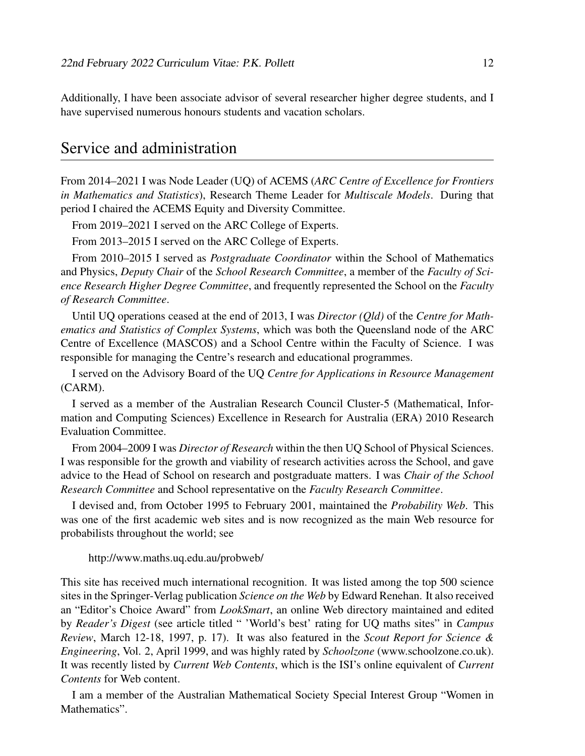Additionally, I have been associate advisor of several researcher higher degree students, and I have supervised numerous honours students and vacation scholars.

# Service and administration

From 2014–2021 I was Node Leader (UQ) of ACEMS (*ARC Centre of Excellence for Frontiers in Mathematics and Statistics*), Research Theme Leader for *Multiscale Models*. During that period I chaired the ACEMS Equity and Diversity Committee.

From 2019–2021 I served on the ARC College of Experts.

From 2013–2015 I served on the ARC College of Experts.

From 2010–2015 I served as *Postgraduate Coordinator* within the School of Mathematics and Physics, *Deputy Chair* of the *School Research Committee*, a member of the *Faculty of Science Research Higher Degree Committee*, and frequently represented the School on the *Faculty of Research Committee*.

Until UQ operations ceased at the end of 2013, I was *Director (Qld)* of the *Centre for Mathematics and Statistics of Complex Systems*, which was both the Queensland node of the ARC Centre of Excellence (MASCOS) and a School Centre within the Faculty of Science. I was responsible for managing the Centre's research and educational programmes.

I served on the Advisory Board of the UQ *Centre for Applications in Resource Management* (CARM).

I served as a member of the Australian Research Council Cluster-5 (Mathematical, Information and Computing Sciences) Excellence in Research for Australia (ERA) 2010 Research Evaluation Committee.

From 2004–2009 I was *Director of Research* within the then UQ School of Physical Sciences. I was responsible for the growth and viability of research activities across the School, and gave advice to the Head of School on research and postgraduate matters. I was *Chair of the School Research Committee* and School representative on the *Faculty Research Committee*.

I devised and, from October 1995 to February 2001, maintained the *Probability Web*. This was one of the first academic web sites and is now recognized as the main Web resource for probabilists throughout the world; see

http://www.maths.uq.edu.au/probweb/

This site has received much international recognition. It was listed among the top 500 science sites in the Springer-Verlag publication *Science on the Web* by Edward Renehan. It also received an "Editor's Choice Award" from *LookSmart*, an online Web directory maintained and edited by *Reader's Digest* (see article titled " 'World's best' rating for UQ maths sites" in *Campus Review*, March 12-18, 1997, p. 17). It was also featured in the *Scout Report for Science & Engineering*, Vol. 2, April 1999, and was highly rated by *Schoolzone* (www.schoolzone.co.uk). It was recently listed by *Current Web Contents*, which is the ISI's online equivalent of *Current Contents* for Web content.

I am a member of the Australian Mathematical Society Special Interest Group "Women in Mathematics".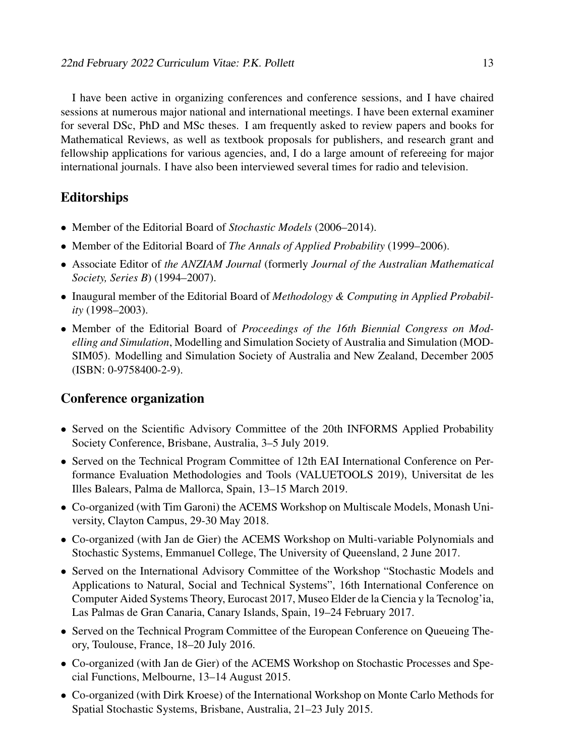I have been active in organizing conferences and conference sessions, and I have chaired sessions at numerous major national and international meetings. I have been external examiner for several DSc, PhD and MSc theses. I am frequently asked to review papers and books for Mathematical Reviews, as well as textbook proposals for publishers, and research grant and fellowship applications for various agencies, and, I do a large amount of refereeing for major international journals. I have also been interviewed several times for radio and television.

### Editorships

- Member of the Editorial Board of *Stochastic Models* (2006–2014).
- Member of the Editorial Board of *The Annals of Applied Probability* (1999–2006).
- Associate Editor of *the ANZIAM Journal* (formerly *Journal of the Australian Mathematical Society, Series B*) (1994–2007).
- Inaugural member of the Editorial Board of *Methodology & Computing in Applied Probability* (1998–2003).
- Member of the Editorial Board of *Proceedings of the 16th Biennial Congress on Modelling and Simulation*, Modelling and Simulation Society of Australia and Simulation (MOD-SIM05). Modelling and Simulation Society of Australia and New Zealand, December 2005 (ISBN: 0-9758400-2-9).

#### Conference organization

- Served on the Scientific Advisory Committee of the 20th INFORMS Applied Probability Society Conference, Brisbane, Australia, 3–5 July 2019.
- Served on the Technical Program Committee of 12th EAI International Conference on Performance Evaluation Methodologies and Tools (VALUETOOLS 2019), Universitat de les Illes Balears, Palma de Mallorca, Spain, 13–15 March 2019.
- Co-organized (with Tim Garoni) the ACEMS Workshop on Multiscale Models, Monash University, Clayton Campus, 29-30 May 2018.
- Co-organized (with Jan de Gier) the ACEMS Workshop on Multi-variable Polynomials and Stochastic Systems, Emmanuel College, The University of Queensland, 2 June 2017.
- Served on the International Advisory Committee of the Workshop "Stochastic Models and Applications to Natural, Social and Technical Systems", 16th International Conference on Computer Aided Systems Theory, Eurocast 2017, Museo Elder de la Ciencia y la Tecnolog'ia, Las Palmas de Gran Canaria, Canary Islands, Spain, 19–24 February 2017.
- Served on the Technical Program Committee of the European Conference on Queueing Theory, Toulouse, France, 18–20 July 2016.
- Co-organized (with Jan de Gier) of the ACEMS Workshop on Stochastic Processes and Special Functions, Melbourne, 13–14 August 2015.
- Co-organized (with Dirk Kroese) of the International Workshop on Monte Carlo Methods for Spatial Stochastic Systems, Brisbane, Australia, 21–23 July 2015.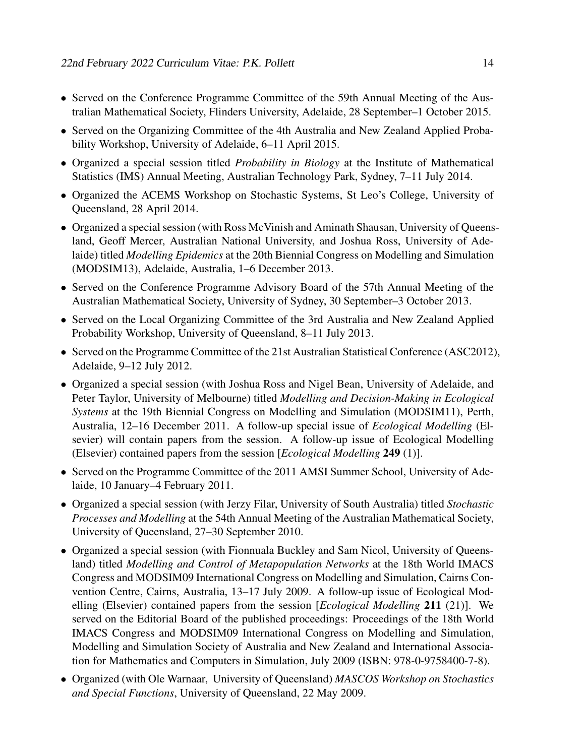- Served on the Conference Programme Committee of the 59th Annual Meeting of the Australian Mathematical Society, Flinders University, Adelaide, 28 September–1 October 2015.
- Served on the Organizing Committee of the 4th Australia and New Zealand Applied Probability Workshop, University of Adelaide, 6–11 April 2015.
- Organized a special session titled *Probability in Biology* at the Institute of Mathematical Statistics (IMS) Annual Meeting, Australian Technology Park, Sydney, 7–11 July 2014.
- Organized the ACEMS Workshop on Stochastic Systems, St Leo's College, University of Queensland, 28 April 2014.
- Organized a special session (with Ross McVinish and Aminath Shausan, University of Queensland, Geoff Mercer, Australian National University, and Joshua Ross, University of Adelaide) titled *Modelling Epidemics* at the 20th Biennial Congress on Modelling and Simulation (MODSIM13), Adelaide, Australia, 1–6 December 2013.
- Served on the Conference Programme Advisory Board of the 57th Annual Meeting of the Australian Mathematical Society, University of Sydney, 30 September–3 October 2013.
- Served on the Local Organizing Committee of the 3rd Australia and New Zealand Applied Probability Workshop, University of Queensland, 8–11 July 2013.
- Served on the Programme Committee of the 21st Australian Statistical Conference (ASC2012), Adelaide, 9–12 July 2012.
- Organized a special session (with Joshua Ross and Nigel Bean, University of Adelaide, and Peter Taylor, University of Melbourne) titled *Modelling and Decision-Making in Ecological Systems* at the 19th Biennial Congress on Modelling and Simulation (MODSIM11), Perth, Australia, 12–16 December 2011. A follow-up special issue of *Ecological Modelling* (Elsevier) will contain papers from the session. A follow-up issue of Ecological Modelling (Elsevier) contained papers from the session [*Ecological Modelling* 249 (1)].
- Served on the Programme Committee of the 2011 AMSI Summer School, University of Adelaide, 10 January–4 February 2011.
- Organized a special session (with Jerzy Filar, University of South Australia) titled *Stochastic Processes and Modelling* at the 54th Annual Meeting of the Australian Mathematical Society, University of Queensland, 27–30 September 2010.
- Organized a special session (with Fionnuala Buckley and Sam Nicol, University of Queensland) titled *Modelling and Control of Metapopulation Networks* at the 18th World IMACS Congress and MODSIM09 International Congress on Modelling and Simulation, Cairns Convention Centre, Cairns, Australia, 13–17 July 2009. A follow-up issue of Ecological Modelling (Elsevier) contained papers from the session [*Ecological Modelling* 211 (21)]. We served on the Editorial Board of the published proceedings: Proceedings of the 18th World IMACS Congress and MODSIM09 International Congress on Modelling and Simulation, Modelling and Simulation Society of Australia and New Zealand and International Association for Mathematics and Computers in Simulation, July 2009 (ISBN: 978-0-9758400-7-8).
- Organized (with Ole Warnaar, University of Queensland) *MASCOS Workshop on Stochastics and Special Functions*, University of Queensland, 22 May 2009.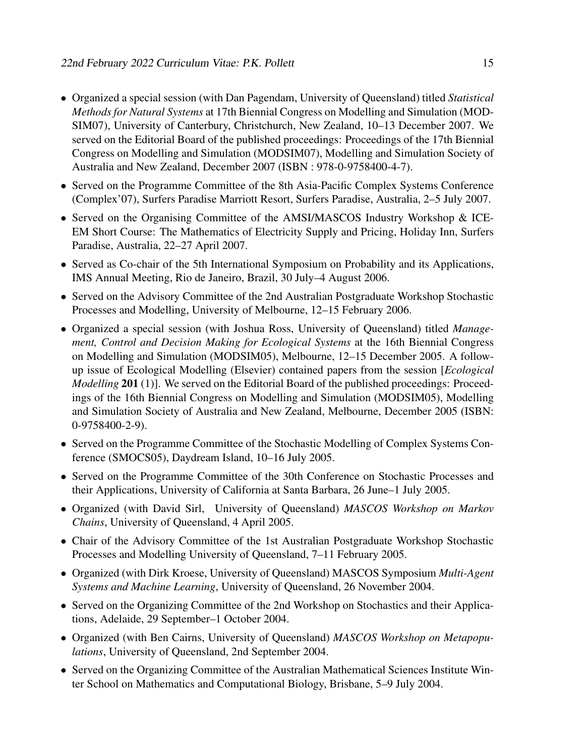- Organized a special session (with Dan Pagendam, University of Queensland) titled *Statistical Methods for Natural Systems* at 17th Biennial Congress on Modelling and Simulation (MOD-SIM07), University of Canterbury, Christchurch, New Zealand, 10–13 December 2007. We served on the Editorial Board of the published proceedings: Proceedings of the 17th Biennial Congress on Modelling and Simulation (MODSIM07), Modelling and Simulation Society of Australia and New Zealand, December 2007 (ISBN : 978-0-9758400-4-7).
- Served on the Programme Committee of the 8th Asia-Pacific Complex Systems Conference (Complex'07), Surfers Paradise Marriott Resort, Surfers Paradise, Australia, 2–5 July 2007.
- Served on the Organising Committee of the AMSI/MASCOS Industry Workshop & ICE-EM Short Course: The Mathematics of Electricity Supply and Pricing, Holiday Inn, Surfers Paradise, Australia, 22–27 April 2007.
- Served as Co-chair of the 5th International Symposium on Probability and its Applications, IMS Annual Meeting, Rio de Janeiro, Brazil, 30 July–4 August 2006.
- Served on the Advisory Committee of the 2nd Australian Postgraduate Workshop Stochastic Processes and Modelling, University of Melbourne, 12–15 February 2006.
- Organized a special session (with Joshua Ross, University of Queensland) titled *Management, Control and Decision Making for Ecological Systems* at the 16th Biennial Congress on Modelling and Simulation (MODSIM05), Melbourne, 12–15 December 2005. A followup issue of Ecological Modelling (Elsevier) contained papers from the session [*Ecological Modelling* 201 (1)]. We served on the Editorial Board of the published proceedings: Proceedings of the 16th Biennial Congress on Modelling and Simulation (MODSIM05), Modelling and Simulation Society of Australia and New Zealand, Melbourne, December 2005 (ISBN: 0-9758400-2-9).
- Served on the Programme Committee of the Stochastic Modelling of Complex Systems Conference (SMOCS05), Daydream Island, 10–16 July 2005.
- Served on the Programme Committee of the 30th Conference on Stochastic Processes and their Applications, University of California at Santa Barbara, 26 June–1 July 2005.
- Organized (with David Sirl, University of Queensland) *MASCOS Workshop on Markov Chains*, University of Queensland, 4 April 2005.
- Chair of the Advisory Committee of the 1st Australian Postgraduate Workshop Stochastic Processes and Modelling University of Queensland, 7–11 February 2005.
- Organized (with Dirk Kroese, University of Queensland) MASCOS Symposium *Multi-Agent Systems and Machine Learning*, University of Queensland, 26 November 2004.
- Served on the Organizing Committee of the 2nd Workshop on Stochastics and their Applications, Adelaide, 29 September–1 October 2004.
- Organized (with Ben Cairns, University of Queensland) *MASCOS Workshop on Metapopulations*, University of Queensland, 2nd September 2004.
- Served on the Organizing Committee of the Australian Mathematical Sciences Institute Winter School on Mathematics and Computational Biology, Brisbane, 5–9 July 2004.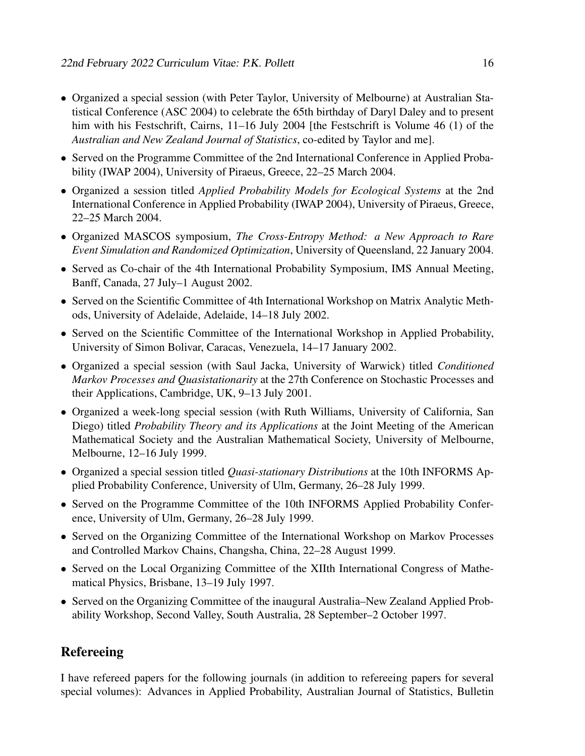- Organized a special session (with Peter Taylor, University of Melbourne) at Australian Statistical Conference (ASC 2004) to celebrate the 65th birthday of Daryl Daley and to present him with his Festschrift, Cairns, 11–16 July 2004 [the Festschrift is Volume 46 (1) of the *Australian and New Zealand Journal of Statistics*, co-edited by Taylor and me].
- Served on the Programme Committee of the 2nd International Conference in Applied Probability (IWAP 2004), University of Piraeus, Greece, 22–25 March 2004.
- Organized a session titled *Applied Probability Models for Ecological Systems* at the 2nd International Conference in Applied Probability (IWAP 2004), University of Piraeus, Greece, 22–25 March 2004.
- Organized MASCOS symposium, *The Cross-Entropy Method: a New Approach to Rare Event Simulation and Randomized Optimization*, University of Queensland, 22 January 2004.
- Served as Co-chair of the 4th International Probability Symposium, IMS Annual Meeting, Banff, Canada, 27 July–1 August 2002.
- Served on the Scientific Committee of 4th International Workshop on Matrix Analytic Methods, University of Adelaide, Adelaide, 14–18 July 2002.
- Served on the Scientific Committee of the International Workshop in Applied Probability, University of Simon Bolivar, Caracas, Venezuela, 14–17 January 2002.
- Organized a special session (with Saul Jacka, University of Warwick) titled *Conditioned Markov Processes and Quasistationarity* at the 27th Conference on Stochastic Processes and their Applications, Cambridge, UK, 9–13 July 2001.
- Organized a week-long special session (with Ruth Williams, University of California, San Diego) titled *Probability Theory and its Applications* at the Joint Meeting of the American Mathematical Society and the Australian Mathematical Society, University of Melbourne, Melbourne, 12–16 July 1999.
- Organized a special session titled *Quasi-stationary Distributions* at the 10th INFORMS Applied Probability Conference, University of Ulm, Germany, 26–28 July 1999.
- Served on the Programme Committee of the 10th INFORMS Applied Probability Conference, University of Ulm, Germany, 26–28 July 1999.
- Served on the Organizing Committee of the International Workshop on Markov Processes and Controlled Markov Chains, Changsha, China, 22–28 August 1999.
- Served on the Local Organizing Committee of the XIIth International Congress of Mathematical Physics, Brisbane, 13–19 July 1997.
- Served on the Organizing Committee of the inaugural Australia–New Zealand Applied Probability Workshop, Second Valley, South Australia, 28 September–2 October 1997.

# Refereeing

I have refereed papers for the following journals (in addition to refereeing papers for several special volumes): Advances in Applied Probability, Australian Journal of Statistics, Bulletin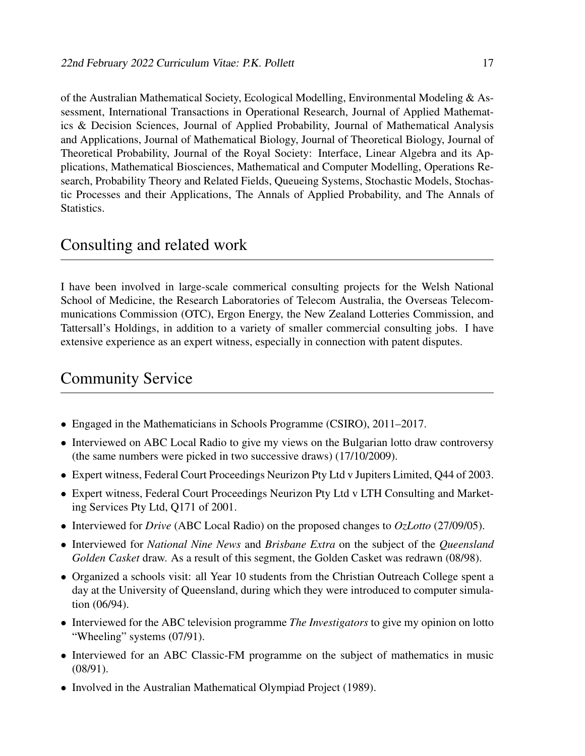of the Australian Mathematical Society, Ecological Modelling, Environmental Modeling & Assessment, International Transactions in Operational Research, Journal of Applied Mathematics & Decision Sciences, Journal of Applied Probability, Journal of Mathematical Analysis and Applications, Journal of Mathematical Biology, Journal of Theoretical Biology, Journal of Theoretical Probability, Journal of the Royal Society: Interface, Linear Algebra and its Applications, Mathematical Biosciences, Mathematical and Computer Modelling, Operations Research, Probability Theory and Related Fields, Queueing Systems, Stochastic Models, Stochastic Processes and their Applications, The Annals of Applied Probability, and The Annals of Statistics.

# Consulting and related work

I have been involved in large-scale commerical consulting projects for the Welsh National School of Medicine, the Research Laboratories of Telecom Australia, the Overseas Telecommunications Commission (OTC), Ergon Energy, the New Zealand Lotteries Commission, and Tattersall's Holdings, in addition to a variety of smaller commercial consulting jobs. I have extensive experience as an expert witness, especially in connection with patent disputes.

# Community Service

- Engaged in the Mathematicians in Schools Programme (CSIRO), 2011–2017.
- Interviewed on ABC Local Radio to give my views on the Bulgarian lotto draw controversy (the same numbers were picked in two successive draws) (17/10/2009).
- Expert witness, Federal Court Proceedings Neurizon Pty Ltd v Jupiters Limited, Q44 of 2003.
- Expert witness, Federal Court Proceedings Neurizon Pty Ltd v LTH Consulting and Marketing Services Pty Ltd, Q171 of 2001.
- Interviewed for *Drive* (ABC Local Radio) on the proposed changes to *OzLotto* (27/09/05).
- Interviewed for *National Nine News* and *Brisbane Extra* on the subject of the *Queensland Golden Casket* draw. As a result of this segment, the Golden Casket was redrawn (08/98).
- Organized a schools visit: all Year 10 students from the Christian Outreach College spent a day at the University of Queensland, during which they were introduced to computer simulation (06/94).
- Interviewed for the ABC television programme *The Investigators* to give my opinion on lotto "Wheeling" systems (07/91).
- Interviewed for an ABC Classic-FM programme on the subject of mathematics in music (08/91).
- Involved in the Australian Mathematical Olympiad Project (1989).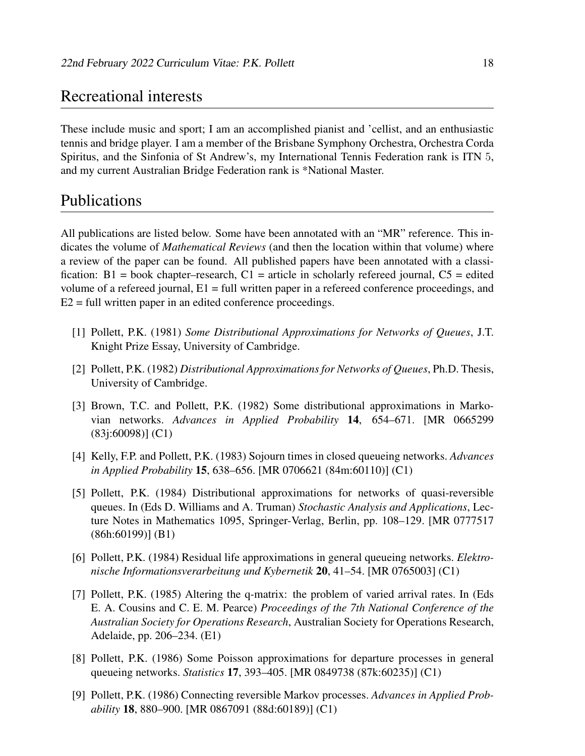# Recreational interests

These include music and sport; I am an accomplished pianist and 'cellist, and an enthusiastic tennis and bridge player. I am a member of the Brisbane Symphony Orchestra, Orchestra Corda Spiritus, and the Sinfonia of St Andrew's, my International Tennis Federation rank is ITN 5, and my current Australian Bridge Federation rank is \*National Master.

# Publications

All publications are listed below. Some have been annotated with an "MR" reference. This indicates the volume of *Mathematical Reviews* (and then the location within that volume) where a review of the paper can be found. All published papers have been annotated with a classification:  $B1 = \text{book chapter–research}, C1 = \text{article in scholarly referred journal}, C5 = \text{edited}$ volume of a refereed journal, E1 = full written paper in a refereed conference proceedings, and E2 = full written paper in an edited conference proceedings.

- [1] Pollett, P.K. (1981) *Some Distributional Approximations for Networks of Queues*, J.T. Knight Prize Essay, University of Cambridge.
- [2] Pollett, P.K. (1982) *Distributional Approximations for Networks of Queues*, Ph.D. Thesis, University of Cambridge.
- [3] Brown, T.C. and Pollett, P.K. (1982) Some distributional approximations in Markovian networks. *Advances in Applied Probability* 14, 654–671. [MR 0665299 (83j:60098)] (C1)
- [4] Kelly, F.P. and Pollett, P.K. (1983) Sojourn times in closed queueing networks. *Advances in Applied Probability* 15, 638–656. [MR 0706621 (84m:60110)] (C1)
- [5] Pollett, P.K. (1984) Distributional approximations for networks of quasi-reversible queues. In (Eds D. Williams and A. Truman) *Stochastic Analysis and Applications*, Lecture Notes in Mathematics 1095, Springer-Verlag, Berlin, pp. 108–129. [MR 0777517 (86h:60199)] (B1)
- [6] Pollett, P.K. (1984) Residual life approximations in general queueing networks. *Elektronische Informationsverarbeitung und Kybernetik* 20, 41–54. [MR 0765003] (C1)
- [7] Pollett, P.K. (1985) Altering the q-matrix: the problem of varied arrival rates. In (Eds E. A. Cousins and C. E. M. Pearce) *Proceedings of the 7th National Conference of the Australian Society for Operations Research*, Australian Society for Operations Research, Adelaide, pp. 206–234. (E1)
- [8] Pollett, P.K. (1986) Some Poisson approximations for departure processes in general queueing networks. *Statistics* 17, 393–405. [MR 0849738 (87k:60235)] (C1)
- [9] Pollett, P.K. (1986) Connecting reversible Markov processes. *Advances in Applied Probability* 18, 880–900. [MR 0867091 (88d:60189)] (C1)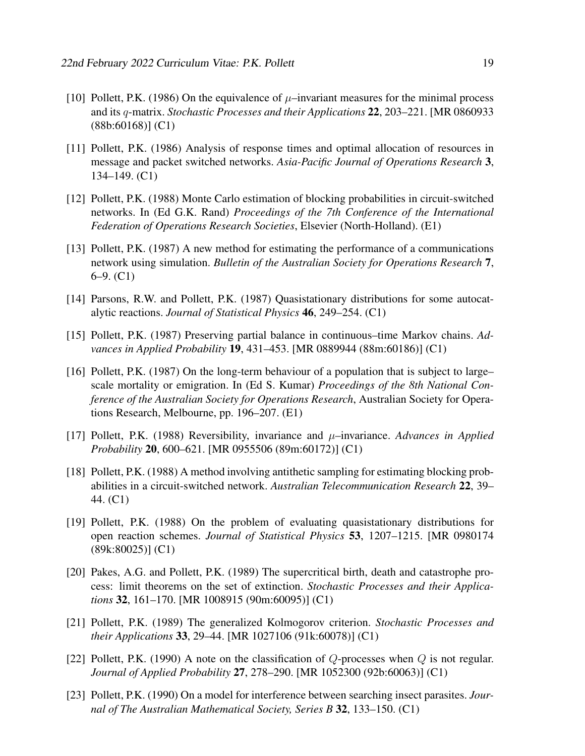- [10] Pollett, P.K. (1986) On the equivalence of  $\mu$ –invariant measures for the minimal process and its q-matrix. *Stochastic Processes and their Applications* 22, 203–221. [MR 0860933 (88b:60168)] (C1)
- [11] Pollett, P.K. (1986) Analysis of response times and optimal allocation of resources in message and packet switched networks. *Asia-Pacific Journal of Operations Research* 3, 134–149. (C1)
- [12] Pollett, P.K. (1988) Monte Carlo estimation of blocking probabilities in circuit-switched networks. In (Ed G.K. Rand) *Proceedings of the 7th Conference of the International Federation of Operations Research Societies*, Elsevier (North-Holland). (E1)
- [13] Pollett, P.K. (1987) A new method for estimating the performance of a communications network using simulation. *Bulletin of the Australian Society for Operations Research* 7, 6–9. (C1)
- [14] Parsons, R.W. and Pollett, P.K. (1987) Quasistationary distributions for some autocatalytic reactions. *Journal of Statistical Physics* 46, 249–254. (C1)
- [15] Pollett, P.K. (1987) Preserving partial balance in continuous–time Markov chains. *Advances in Applied Probability* 19, 431–453. [MR 0889944 (88m:60186)] (C1)
- [16] Pollett, P.K. (1987) On the long-term behaviour of a population that is subject to large– scale mortality or emigration. In (Ed S. Kumar) *Proceedings of the 8th National Conference of the Australian Society for Operations Research*, Australian Society for Operations Research, Melbourne, pp. 196–207. (E1)
- [17] Pollett, P.K. (1988) Reversibility, invariance and µ–invariance. *Advances in Applied Probability* 20, 600–621. [MR 0955506 (89m:60172)] (C1)
- [18] Pollett, P.K. (1988) A method involving antithetic sampling for estimating blocking probabilities in a circuit-switched network. *Australian Telecommunication Research* 22, 39– 44. (C1)
- [19] Pollett, P.K. (1988) On the problem of evaluating quasistationary distributions for open reaction schemes. *Journal of Statistical Physics* 53, 1207–1215. [MR 0980174 (89k:80025)] (C1)
- [20] Pakes, A.G. and Pollett, P.K. (1989) The supercritical birth, death and catastrophe process: limit theorems on the set of extinction. *Stochastic Processes and their Applications* 32, 161–170. [MR 1008915 (90m:60095)] (C1)
- [21] Pollett, P.K. (1989) The generalized Kolmogorov criterion. *Stochastic Processes and their Applications* 33, 29–44. [MR 1027106 (91k:60078)] (C1)
- [22] Pollett, P.K. (1990) A note on the classification of  $Q$ -processes when  $Q$  is not regular. *Journal of Applied Probability* 27, 278–290. [MR 1052300 (92b:60063)] (C1)
- [23] Pollett, P.K. (1990) On a model for interference between searching insect parasites. *Journal of The Australian Mathematical Society, Series B* 32, 133–150. (C1)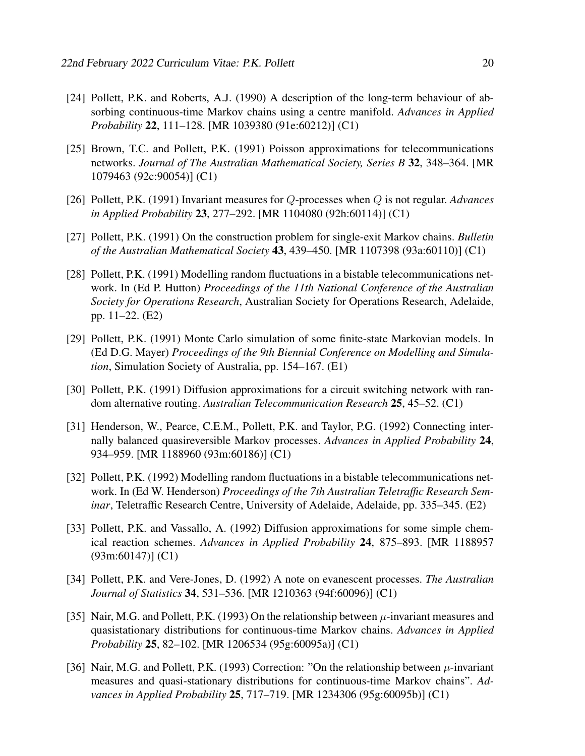- [24] Pollett, P.K. and Roberts, A.J. (1990) A description of the long-term behaviour of absorbing continuous-time Markov chains using a centre manifold. *Advances in Applied Probability* 22, 111–128. [MR 1039380 (91e:60212)] (C1)
- [25] Brown, T.C. and Pollett, P.K. (1991) Poisson approximations for telecommunications networks. *Journal of The Australian Mathematical Society, Series B* 32, 348–364. [MR 1079463 (92c:90054)] (C1)
- [26] Pollett, P.K. (1991) Invariant measures for Q-processes when Q is not regular. *Advances in Applied Probability* 23, 277–292. [MR 1104080 (92h:60114)] (C1)
- [27] Pollett, P.K. (1991) On the construction problem for single-exit Markov chains. *Bulletin of the Australian Mathematical Society* 43, 439–450. [MR 1107398 (93a:60110)] (C1)
- [28] Pollett, P.K. (1991) Modelling random fluctuations in a bistable telecommunications network. In (Ed P. Hutton) *Proceedings of the 11th National Conference of the Australian Society for Operations Research*, Australian Society for Operations Research, Adelaide, pp. 11–22. (E2)
- [29] Pollett, P.K. (1991) Monte Carlo simulation of some finite-state Markovian models. In (Ed D.G. Mayer) *Proceedings of the 9th Biennial Conference on Modelling and Simulation*, Simulation Society of Australia, pp. 154–167. (E1)
- [30] Pollett, P.K. (1991) Diffusion approximations for a circuit switching network with random alternative routing. *Australian Telecommunication Research* 25, 45–52. (C1)
- [31] Henderson, W., Pearce, C.E.M., Pollett, P.K. and Taylor, P.G. (1992) Connecting internally balanced quasireversible Markov processes. *Advances in Applied Probability* 24, 934–959. [MR 1188960 (93m:60186)] (C1)
- [32] Pollett, P.K. (1992) Modelling random fluctuations in a bistable telecommunications network. In (Ed W. Henderson) *Proceedings of the 7th Australian Teletraffic Research Seminar*, Teletraffic Research Centre, University of Adelaide, Adelaide, pp. 335–345. (E2)
- [33] Pollett, P.K. and Vassallo, A. (1992) Diffusion approximations for some simple chemical reaction schemes. *Advances in Applied Probability* 24, 875–893. [MR 1188957 (93m:60147)] (C1)
- [34] Pollett, P.K. and Vere-Jones, D. (1992) A note on evanescent processes. *The Australian Journal of Statistics* 34, 531–536. [MR 1210363 (94f:60096)] (C1)
- [35] Nair, M.G. and Pollett, P.K. (1993) On the relationship between  $\mu$ -invariant measures and quasistationary distributions for continuous-time Markov chains. *Advances in Applied Probability* 25, 82–102. [MR 1206534 (95g:60095a)] (C1)
- [36] Nair, M.G. and Pollett, P.K. (1993) Correction: "On the relationship between  $\mu$ -invariant measures and quasi-stationary distributions for continuous-time Markov chains". *Advances in Applied Probability* 25, 717–719. [MR 1234306 (95g:60095b)] (C1)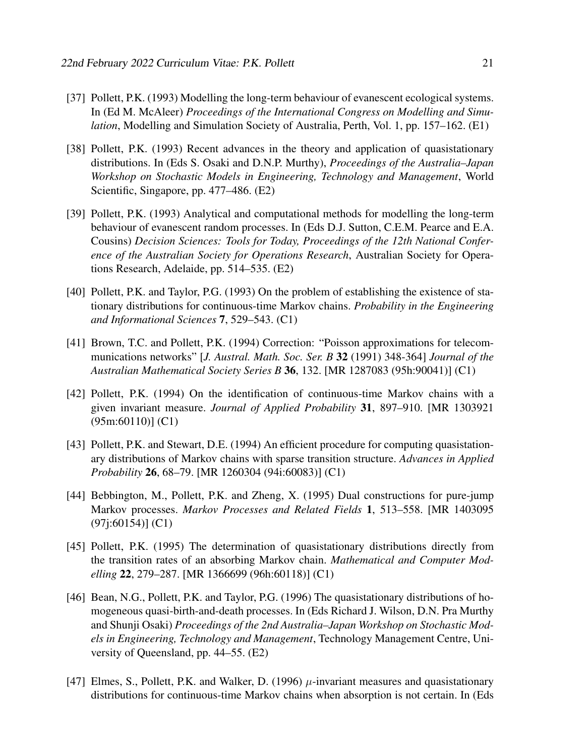- [37] Pollett, P.K. (1993) Modelling the long-term behaviour of evanescent ecological systems. In (Ed M. McAleer) *Proceedings of the International Congress on Modelling and Simulation*, Modelling and Simulation Society of Australia, Perth, Vol. 1, pp. 157–162. (E1)
- [38] Pollett, P.K. (1993) Recent advances in the theory and application of quasistationary distributions. In (Eds S. Osaki and D.N.P. Murthy), *Proceedings of the Australia–Japan Workshop on Stochastic Models in Engineering, Technology and Management*, World Scientific, Singapore, pp. 477–486. (E2)
- [39] Pollett, P.K. (1993) Analytical and computational methods for modelling the long-term behaviour of evanescent random processes. In (Eds D.J. Sutton, C.E.M. Pearce and E.A. Cousins) *Decision Sciences: Tools for Today, Proceedings of the 12th National Conference of the Australian Society for Operations Research*, Australian Society for Operations Research, Adelaide, pp. 514–535. (E2)
- [40] Pollett, P.K. and Taylor, P.G. (1993) On the problem of establishing the existence of stationary distributions for continuous-time Markov chains. *Probability in the Engineering and Informational Sciences* 7, 529–543. (C1)
- [41] Brown, T.C. and Pollett, P.K. (1994) Correction: "Poisson approximations for telecommunications networks" [*J. Austral. Math. Soc. Ser. B* 32 (1991) 348-364] *Journal of the Australian Mathematical Society Series B* 36, 132. [MR 1287083 (95h:90041)] (C1)
- [42] Pollett, P.K. (1994) On the identification of continuous-time Markov chains with a given invariant measure. *Journal of Applied Probability* 31, 897–910. [MR 1303921 (95m:60110)] (C1)
- [43] Pollett, P.K. and Stewart, D.E. (1994) An efficient procedure for computing quasistationary distributions of Markov chains with sparse transition structure. *Advances in Applied Probability* 26, 68–79. [MR 1260304 (94i:60083)] (C1)
- [44] Bebbington, M., Pollett, P.K. and Zheng, X. (1995) Dual constructions for pure-jump Markov processes. *Markov Processes and Related Fields* 1, 513–558. [MR 1403095 (97j:60154)] (C1)
- [45] Pollett, P.K. (1995) The determination of quasistationary distributions directly from the transition rates of an absorbing Markov chain. *Mathematical and Computer Modelling* 22, 279–287. [MR 1366699 (96h:60118)] (C1)
- [46] Bean, N.G., Pollett, P.K. and Taylor, P.G. (1996) The quasistationary distributions of homogeneous quasi-birth-and-death processes. In (Eds Richard J. Wilson, D.N. Pra Murthy and Shunji Osaki) *Proceedings of the 2nd Australia–Japan Workshop on Stochastic Models in Engineering, Technology and Management*, Technology Management Centre, University of Queensland, pp. 44–55. (E2)
- [47] Elmes, S., Pollett, P.K. and Walker, D. (1996)  $\mu$ -invariant measures and quasistationary distributions for continuous-time Markov chains when absorption is not certain. In (Eds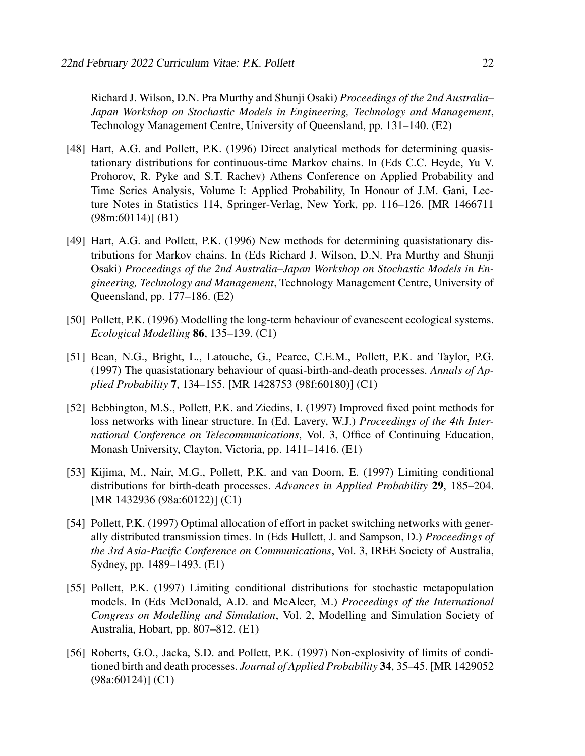Richard J. Wilson, D.N. Pra Murthy and Shunji Osaki) *Proceedings of the 2nd Australia– Japan Workshop on Stochastic Models in Engineering, Technology and Management*, Technology Management Centre, University of Queensland, pp. 131–140. (E2)

- [48] Hart, A.G. and Pollett, P.K. (1996) Direct analytical methods for determining quasistationary distributions for continuous-time Markov chains. In (Eds C.C. Heyde, Yu V. Prohorov, R. Pyke and S.T. Rachev) Athens Conference on Applied Probability and Time Series Analysis, Volume I: Applied Probability, In Honour of J.M. Gani, Lecture Notes in Statistics 114, Springer-Verlag, New York, pp. 116–126. [MR 1466711 (98m:60114)] (B1)
- [49] Hart, A.G. and Pollett, P.K. (1996) New methods for determining quasistationary distributions for Markov chains. In (Eds Richard J. Wilson, D.N. Pra Murthy and Shunji Osaki) *Proceedings of the 2nd Australia–Japan Workshop on Stochastic Models in Engineering, Technology and Management*, Technology Management Centre, University of Queensland, pp. 177–186. (E2)
- [50] Pollett, P.K. (1996) Modelling the long-term behaviour of evanescent ecological systems. *Ecological Modelling* 86, 135–139. (C1)
- [51] Bean, N.G., Bright, L., Latouche, G., Pearce, C.E.M., Pollett, P.K. and Taylor, P.G. (1997) The quasistationary behaviour of quasi-birth-and-death processes. *Annals of Applied Probability* 7, 134–155. [MR 1428753 (98f:60180)] (C1)
- [52] Bebbington, M.S., Pollett, P.K. and Ziedins, I. (1997) Improved fixed point methods for loss networks with linear structure. In (Ed. Lavery, W.J.) *Proceedings of the 4th International Conference on Telecommunications*, Vol. 3, Office of Continuing Education, Monash University, Clayton, Victoria, pp. 1411–1416. (E1)
- [53] Kijima, M., Nair, M.G., Pollett, P.K. and van Doorn, E. (1997) Limiting conditional distributions for birth-death processes. *Advances in Applied Probability* 29, 185–204. [MR 1432936 (98a:60122)] (C1)
- [54] Pollett, P.K. (1997) Optimal allocation of effort in packet switching networks with generally distributed transmission times. In (Eds Hullett, J. and Sampson, D.) *Proceedings of the 3rd Asia-Pacific Conference on Communications*, Vol. 3, IREE Society of Australia, Sydney, pp. 1489–1493. (E1)
- [55] Pollett, P.K. (1997) Limiting conditional distributions for stochastic metapopulation models. In (Eds McDonald, A.D. and McAleer, M.) *Proceedings of the International Congress on Modelling and Simulation*, Vol. 2, Modelling and Simulation Society of Australia, Hobart, pp. 807–812. (E1)
- [56] Roberts, G.O., Jacka, S.D. and Pollett, P.K. (1997) Non-explosivity of limits of conditioned birth and death processes. *Journal of Applied Probability* 34, 35–45. [MR 1429052 (98a:60124)] (C1)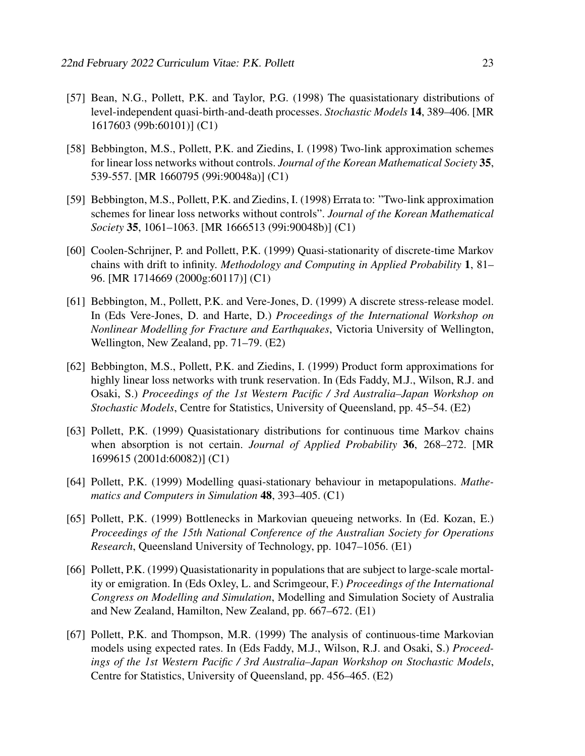- [57] Bean, N.G., Pollett, P.K. and Taylor, P.G. (1998) The quasistationary distributions of level-independent quasi-birth-and-death processes. *Stochastic Models* 14, 389–406. [MR 1617603 (99b:60101)] (C1)
- [58] Bebbington, M.S., Pollett, P.K. and Ziedins, I. (1998) Two-link approximation schemes for linear loss networks without controls. *Journal of the Korean Mathematical Society* 35, 539-557. [MR 1660795 (99i:90048a)] (C1)
- [59] Bebbington, M.S., Pollett, P.K. and Ziedins, I. (1998) Errata to: "Two-link approximation schemes for linear loss networks without controls". *Journal of the Korean Mathematical Society* 35, 1061–1063. [MR 1666513 (99i:90048b)] (C1)
- [60] Coolen-Schrijner, P. and Pollett, P.K. (1999) Quasi-stationarity of discrete-time Markov chains with drift to infinity. *Methodology and Computing in Applied Probability* 1, 81– 96. [MR 1714669 (2000g:60117)] (C1)
- [61] Bebbington, M., Pollett, P.K. and Vere-Jones, D. (1999) A discrete stress-release model. In (Eds Vere-Jones, D. and Harte, D.) *Proceedings of the International Workshop on Nonlinear Modelling for Fracture and Earthquakes*, Victoria University of Wellington, Wellington, New Zealand, pp. 71–79. (E2)
- [62] Bebbington, M.S., Pollett, P.K. and Ziedins, I. (1999) Product form approximations for highly linear loss networks with trunk reservation. In (Eds Faddy, M.J., Wilson, R.J. and Osaki, S.) *Proceedings of the 1st Western Pacific / 3rd Australia–Japan Workshop on Stochastic Models*, Centre for Statistics, University of Queensland, pp. 45–54. (E2)
- [63] Pollett, P.K. (1999) Quasistationary distributions for continuous time Markov chains when absorption is not certain. *Journal of Applied Probability* 36, 268–272. [MR 1699615 (2001d:60082)] (C1)
- [64] Pollett, P.K. (1999) Modelling quasi-stationary behaviour in metapopulations. *Mathematics and Computers in Simulation* 48, 393–405. (C1)
- [65] Pollett, P.K. (1999) Bottlenecks in Markovian queueing networks. In (Ed. Kozan, E.) *Proceedings of the 15th National Conference of the Australian Society for Operations Research*, Queensland University of Technology, pp. 1047–1056. (E1)
- [66] Pollett, P.K. (1999) Quasistationarity in populations that are subject to large-scale mortality or emigration. In (Eds Oxley, L. and Scrimgeour, F.) *Proceedings of the International Congress on Modelling and Simulation*, Modelling and Simulation Society of Australia and New Zealand, Hamilton, New Zealand, pp. 667–672. (E1)
- [67] Pollett, P.K. and Thompson, M.R. (1999) The analysis of continuous-time Markovian models using expected rates. In (Eds Faddy, M.J., Wilson, R.J. and Osaki, S.) *Proceedings of the 1st Western Pacific / 3rd Australia–Japan Workshop on Stochastic Models*, Centre for Statistics, University of Queensland, pp. 456–465. (E2)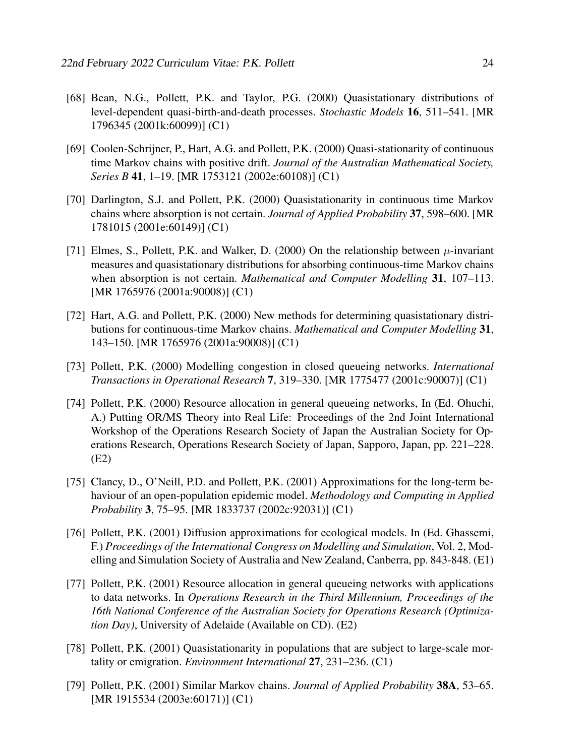- [68] Bean, N.G., Pollett, P.K. and Taylor, P.G. (2000) Quasistationary distributions of level-dependent quasi-birth-and-death processes. *Stochastic Models* 16, 511–541. [MR 1796345 (2001k:60099)] (C1)
- [69] Coolen-Schrijner, P., Hart, A.G. and Pollett, P.K. (2000) Quasi-stationarity of continuous time Markov chains with positive drift. *Journal of the Australian Mathematical Society, Series B* 41, 1–19. [MR 1753121 (2002e:60108)] (C1)
- [70] Darlington, S.J. and Pollett, P.K. (2000) Quasistationarity in continuous time Markov chains where absorption is not certain. *Journal of Applied Probability* 37, 598–600. [MR 1781015 (2001e:60149)] (C1)
- [71] Elmes, S., Pollett, P.K. and Walker, D. (2000) On the relationship between  $\mu$ -invariant measures and quasistationary distributions for absorbing continuous-time Markov chains when absorption is not certain. *Mathematical and Computer Modelling* 31, 107–113. [MR 1765976 (2001a:90008)] (C1)
- [72] Hart, A.G. and Pollett, P.K. (2000) New methods for determining quasistationary distributions for continuous-time Markov chains. *Mathematical and Computer Modelling* 31, 143–150. [MR 1765976 (2001a:90008)] (C1)
- [73] Pollett, P.K. (2000) Modelling congestion in closed queueing networks. *International Transactions in Operational Research* 7, 319–330. [MR 1775477 (2001c:90007)] (C1)
- [74] Pollett, P.K. (2000) Resource allocation in general queueing networks, In (Ed. Ohuchi, A.) Putting OR/MS Theory into Real Life: Proceedings of the 2nd Joint International Workshop of the Operations Research Society of Japan the Australian Society for Operations Research, Operations Research Society of Japan, Sapporo, Japan, pp. 221–228. (E2)
- [75] Clancy, D., O'Neill, P.D. and Pollett, P.K. (2001) Approximations for the long-term behaviour of an open-population epidemic model. *Methodology and Computing in Applied Probability* 3, 75–95. [MR 1833737 (2002c:92031)] (C1)
- [76] Pollett, P.K. (2001) Diffusion approximations for ecological models. In (Ed. Ghassemi, F.) *Proceedings of the International Congress on Modelling and Simulation*, Vol. 2, Modelling and Simulation Society of Australia and New Zealand, Canberra, pp. 843-848. (E1)
- [77] Pollett, P.K. (2001) Resource allocation in general queueing networks with applications to data networks. In *Operations Research in the Third Millennium, Proceedings of the 16th National Conference of the Australian Society for Operations Research (Optimization Day)*, University of Adelaide (Available on CD). (E2)
- [78] Pollett, P.K. (2001) Quasistationarity in populations that are subject to large-scale mortality or emigration. *Environment International* 27, 231–236. (C1)
- [79] Pollett, P.K. (2001) Similar Markov chains. *Journal of Applied Probability* 38A, 53–65. [MR 1915534 (2003e:60171)] (C1)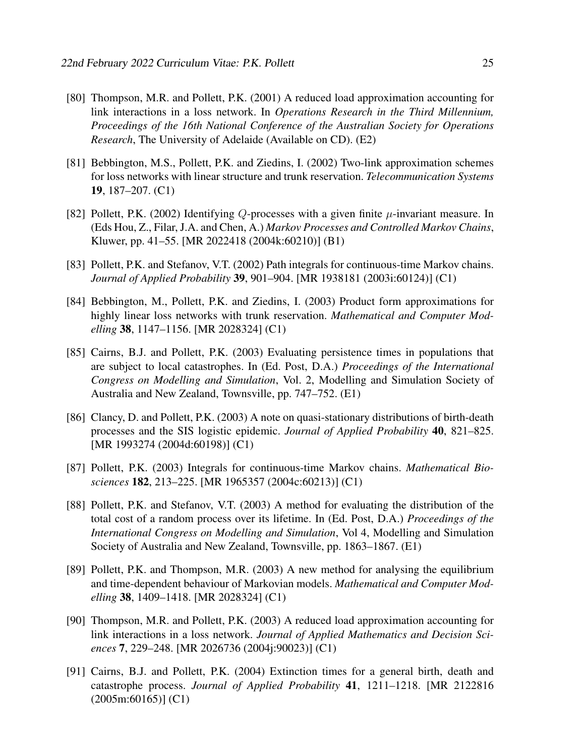- [80] Thompson, M.R. and Pollett, P.K. (2001) A reduced load approximation accounting for link interactions in a loss network. In *Operations Research in the Third Millennium, Proceedings of the 16th National Conference of the Australian Society for Operations Research*, The University of Adelaide (Available on CD). (E2)
- [81] Bebbington, M.S., Pollett, P.K. and Ziedins, I. (2002) Two-link approximation schemes for loss networks with linear structure and trunk reservation. *Telecommunication Systems* 19, 187–207. (C1)
- [82] Pollett, P.K. (2002) Identifying Q-processes with a given finite  $\mu$ -invariant measure. In (Eds Hou, Z., Filar, J.A. and Chen, A.) *Markov Processes and Controlled Markov Chains*, Kluwer, pp. 41–55. [MR 2022418 (2004k:60210)] (B1)
- [83] Pollett, P.K. and Stefanov, V.T. (2002) Path integrals for continuous-time Markov chains. *Journal of Applied Probability* 39, 901–904. [MR 1938181 (2003i:60124)] (C1)
- [84] Bebbington, M., Pollett, P.K. and Ziedins, I. (2003) Product form approximations for highly linear loss networks with trunk reservation. *Mathematical and Computer Modelling* 38, 1147–1156. [MR 2028324] (C1)
- [85] Cairns, B.J. and Pollett, P.K. (2003) Evaluating persistence times in populations that are subject to local catastrophes. In (Ed. Post, D.A.) *Proceedings of the International Congress on Modelling and Simulation*, Vol. 2, Modelling and Simulation Society of Australia and New Zealand, Townsville, pp. 747–752. (E1)
- [86] Clancy, D. and Pollett, P.K. (2003) A note on quasi-stationary distributions of birth-death processes and the SIS logistic epidemic. *Journal of Applied Probability* 40, 821–825. [MR 1993274 (2004d:60198)] (C1)
- [87] Pollett, P.K. (2003) Integrals for continuous-time Markov chains. *Mathematical Biosciences* 182, 213–225. [MR 1965357 (2004c:60213)] (C1)
- [88] Pollett, P.K. and Stefanov, V.T. (2003) A method for evaluating the distribution of the total cost of a random process over its lifetime. In (Ed. Post, D.A.) *Proceedings of the International Congress on Modelling and Simulation*, Vol 4, Modelling and Simulation Society of Australia and New Zealand, Townsville, pp. 1863–1867. (E1)
- [89] Pollett, P.K. and Thompson, M.R. (2003) A new method for analysing the equilibrium and time-dependent behaviour of Markovian models. *Mathematical and Computer Modelling* 38, 1409–1418. [MR 2028324] (C1)
- [90] Thompson, M.R. and Pollett, P.K. (2003) A reduced load approximation accounting for link interactions in a loss network. *Journal of Applied Mathematics and Decision Sciences* 7, 229–248. [MR 2026736 (2004j:90023)] (C1)
- [91] Cairns, B.J. and Pollett, P.K. (2004) Extinction times for a general birth, death and catastrophe process. *Journal of Applied Probability* 41, 1211–1218. [MR 2122816 (2005m:60165)] (C1)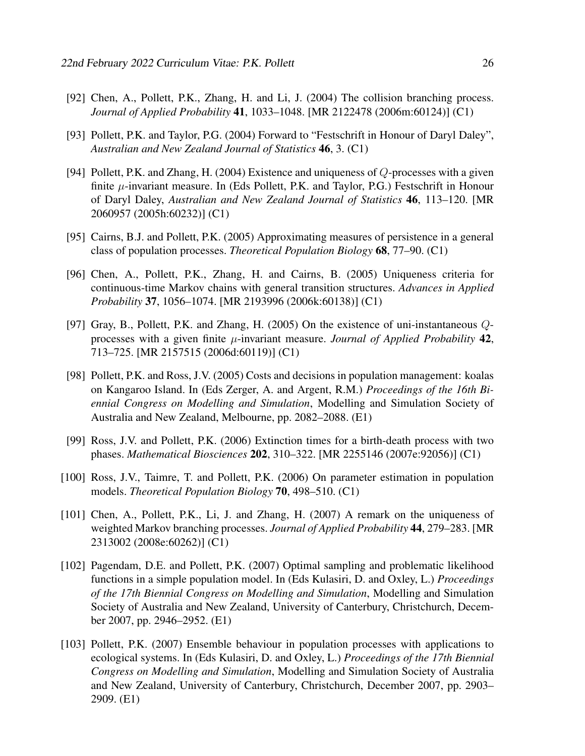- [92] Chen, A., Pollett, P.K., Zhang, H. and Li, J. (2004) The collision branching process. *Journal of Applied Probability* 41, 1033–1048. [MR 2122478 (2006m:60124)] (C1)
- [93] Pollett, P.K. and Taylor, P.G. (2004) Forward to "Festschrift in Honour of Daryl Daley", *Australian and New Zealand Journal of Statistics* 46, 3. (C1)
- [94] Pollett, P.K. and Zhang, H. (2004) Existence and uniqueness of Q-processes with a given finite  $\mu$ -invariant measure. In (Eds Pollett, P.K. and Taylor, P.G.) Festschrift in Honour of Daryl Daley, *Australian and New Zealand Journal of Statistics* 46, 113–120. [MR 2060957 (2005h:60232)] (C1)
- [95] Cairns, B.J. and Pollett, P.K. (2005) Approximating measures of persistence in a general class of population processes. *Theoretical Population Biology* 68, 77–90. (C1)
- [96] Chen, A., Pollett, P.K., Zhang, H. and Cairns, B. (2005) Uniqueness criteria for continuous-time Markov chains with general transition structures. *Advances in Applied Probability* 37, 1056–1074. [MR 2193996 (2006k:60138)] (C1)
- [97] Gray, B., Pollett, P.K. and Zhang, H. (2005) On the existence of uni-instantaneous Qprocesses with a given finite µ-invariant measure. *Journal of Applied Probability* 42, 713–725. [MR 2157515 (2006d:60119)] (C1)
- [98] Pollett, P.K. and Ross, J.V. (2005) Costs and decisions in population management: koalas on Kangaroo Island. In (Eds Zerger, A. and Argent, R.M.) *Proceedings of the 16th Biennial Congress on Modelling and Simulation*, Modelling and Simulation Society of Australia and New Zealand, Melbourne, pp. 2082–2088. (E1)
- [99] Ross, J.V. and Pollett, P.K. (2006) Extinction times for a birth-death process with two phases. *Mathematical Biosciences* 202, 310–322. [MR 2255146 (2007e:92056)] (C1)
- [100] Ross, J.V., Taimre, T. and Pollett, P.K. (2006) On parameter estimation in population models. *Theoretical Population Biology* 70, 498–510. (C1)
- [101] Chen, A., Pollett, P.K., Li, J. and Zhang, H. (2007) A remark on the uniqueness of weighted Markov branching processes. *Journal of Applied Probability* 44, 279–283. [MR 2313002 (2008e:60262)] (C1)
- [102] Pagendam, D.E. and Pollett, P.K. (2007) Optimal sampling and problematic likelihood functions in a simple population model. In (Eds Kulasiri, D. and Oxley, L.) *Proceedings of the 17th Biennial Congress on Modelling and Simulation*, Modelling and Simulation Society of Australia and New Zealand, University of Canterbury, Christchurch, December 2007, pp. 2946–2952. (E1)
- [103] Pollett, P.K. (2007) Ensemble behaviour in population processes with applications to ecological systems. In (Eds Kulasiri, D. and Oxley, L.) *Proceedings of the 17th Biennial Congress on Modelling and Simulation*, Modelling and Simulation Society of Australia and New Zealand, University of Canterbury, Christchurch, December 2007, pp. 2903– 2909. (E1)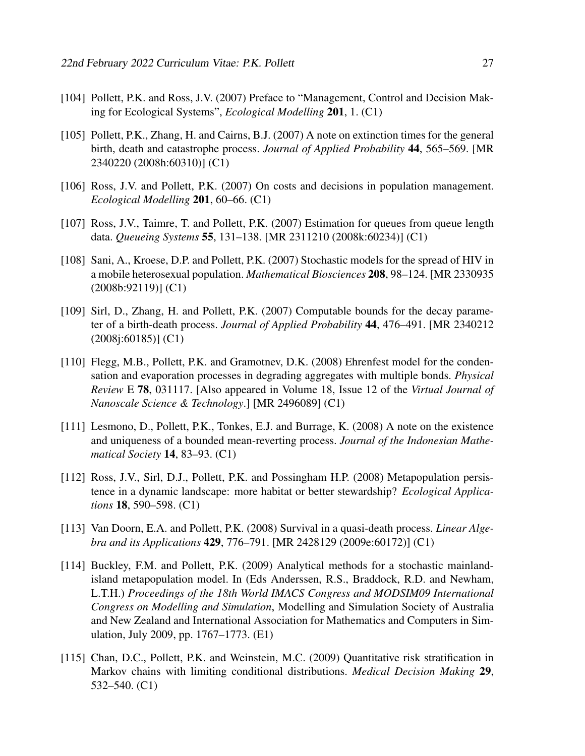- [104] Pollett, P.K. and Ross, J.V. (2007) Preface to "Management, Control and Decision Making for Ecological Systems", *Ecological Modelling* 201, 1. (C1)
- [105] Pollett, P.K., Zhang, H. and Cairns, B.J. (2007) A note on extinction times for the general birth, death and catastrophe process. *Journal of Applied Probability* 44, 565–569. [MR 2340220 (2008h:60310)] (C1)
- [106] Ross, J.V. and Pollett, P.K. (2007) On costs and decisions in population management. *Ecological Modelling* 201, 60–66. (C1)
- [107] Ross, J.V., Taimre, T. and Pollett, P.K. (2007) Estimation for queues from queue length data. *Queueing Systems* 55, 131–138. [MR 2311210 (2008k:60234)] (C1)
- [108] Sani, A., Kroese, D.P. and Pollett, P.K. (2007) Stochastic models for the spread of HIV in a mobile heterosexual population. *Mathematical Biosciences* 208, 98–124. [MR 2330935 (2008b:92119)] (C1)
- [109] Sirl, D., Zhang, H. and Pollett, P.K. (2007) Computable bounds for the decay parameter of a birth-death process. *Journal of Applied Probability* 44, 476–491. [MR 2340212 (2008j:60185)] (C1)
- [110] Flegg, M.B., Pollett, P.K. and Gramotnev, D.K. (2008) Ehrenfest model for the condensation and evaporation processes in degrading aggregates with multiple bonds. *Physical Review* E 78, 031117. [Also appeared in Volume 18, Issue 12 of the *Virtual Journal of Nanoscale Science & Technology*.] [MR 2496089] (C1)
- [111] Lesmono, D., Pollett, P.K., Tonkes, E.J. and Burrage, K. (2008) A note on the existence and uniqueness of a bounded mean-reverting process. *Journal of the Indonesian Mathematical Society* 14, 83–93. (C1)
- [112] Ross, J.V., Sirl, D.J., Pollett, P.K. and Possingham H.P. (2008) Metapopulation persistence in a dynamic landscape: more habitat or better stewardship? *Ecological Applications* 18, 590–598. (C1)
- [113] Van Doorn, E.A. and Pollett, P.K. (2008) Survival in a quasi-death process. *Linear Algebra and its Applications* 429, 776–791. [MR 2428129 (2009e:60172)] (C1)
- [114] Buckley, F.M. and Pollett, P.K. (2009) Analytical methods for a stochastic mainlandisland metapopulation model. In (Eds Anderssen, R.S., Braddock, R.D. and Newham, L.T.H.) *Proceedings of the 18th World IMACS Congress and MODSIM09 International Congress on Modelling and Simulation*, Modelling and Simulation Society of Australia and New Zealand and International Association for Mathematics and Computers in Simulation, July 2009, pp. 1767–1773. (E1)
- [115] Chan, D.C., Pollett, P.K. and Weinstein, M.C. (2009) Quantitative risk stratification in Markov chains with limiting conditional distributions. *Medical Decision Making* 29, 532–540. (C1)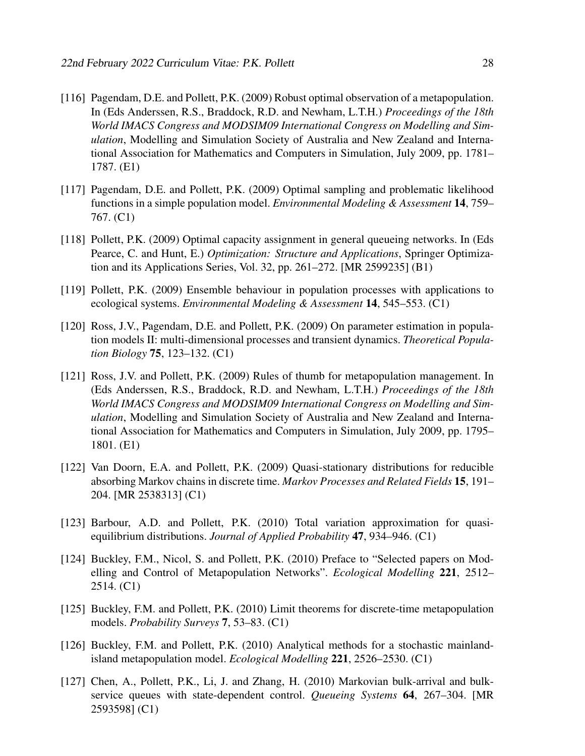- [116] Pagendam, D.E. and Pollett, P.K. (2009) Robust optimal observation of a metapopulation. In (Eds Anderssen, R.S., Braddock, R.D. and Newham, L.T.H.) *Proceedings of the 18th World IMACS Congress and MODSIM09 International Congress on Modelling and Simulation*, Modelling and Simulation Society of Australia and New Zealand and International Association for Mathematics and Computers in Simulation, July 2009, pp. 1781– 1787. (E1)
- [117] Pagendam, D.E. and Pollett, P.K. (2009) Optimal sampling and problematic likelihood functions in a simple population model. *Environmental Modeling & Assessment* 14, 759– 767. (C1)
- [118] Pollett, P.K. (2009) Optimal capacity assignment in general queueing networks. In (Eds Pearce, C. and Hunt, E.) *Optimization: Structure and Applications*, Springer Optimization and its Applications Series, Vol. 32, pp. 261–272. [MR 2599235] (B1)
- [119] Pollett, P.K. (2009) Ensemble behaviour in population processes with applications to ecological systems. *Environmental Modeling & Assessment* 14, 545–553. (C1)
- [120] Ross, J.V., Pagendam, D.E. and Pollett, P.K. (2009) On parameter estimation in population models II: multi-dimensional processes and transient dynamics. *Theoretical Population Biology* 75, 123–132. (C1)
- [121] Ross, J.V. and Pollett, P.K. (2009) Rules of thumb for metapopulation management. In (Eds Anderssen, R.S., Braddock, R.D. and Newham, L.T.H.) *Proceedings of the 18th World IMACS Congress and MODSIM09 International Congress on Modelling and Simulation*, Modelling and Simulation Society of Australia and New Zealand and International Association for Mathematics and Computers in Simulation, July 2009, pp. 1795– 1801. (E1)
- [122] Van Doorn, E.A. and Pollett, P.K. (2009) Quasi-stationary distributions for reducible absorbing Markov chains in discrete time. *Markov Processes and Related Fields* 15, 191– 204. [MR 2538313] (C1)
- [123] Barbour, A.D. and Pollett, P.K. (2010) Total variation approximation for quasiequilibrium distributions. *Journal of Applied Probability* 47, 934–946. (C1)
- [124] Buckley, F.M., Nicol, S. and Pollett, P.K. (2010) Preface to "Selected papers on Modelling and Control of Metapopulation Networks". *Ecological Modelling* 221, 2512– 2514. (C1)
- [125] Buckley, F.M. and Pollett, P.K. (2010) Limit theorems for discrete-time metapopulation models. *Probability Surveys* 7, 53–83. (C1)
- [126] Buckley, F.M. and Pollett, P.K. (2010) Analytical methods for a stochastic mainlandisland metapopulation model. *Ecological Modelling* 221, 2526–2530. (C1)
- [127] Chen, A., Pollett, P.K., Li, J. and Zhang, H. (2010) Markovian bulk-arrival and bulkservice queues with state-dependent control. *Queueing Systems* 64, 267–304. [MR 2593598] (C1)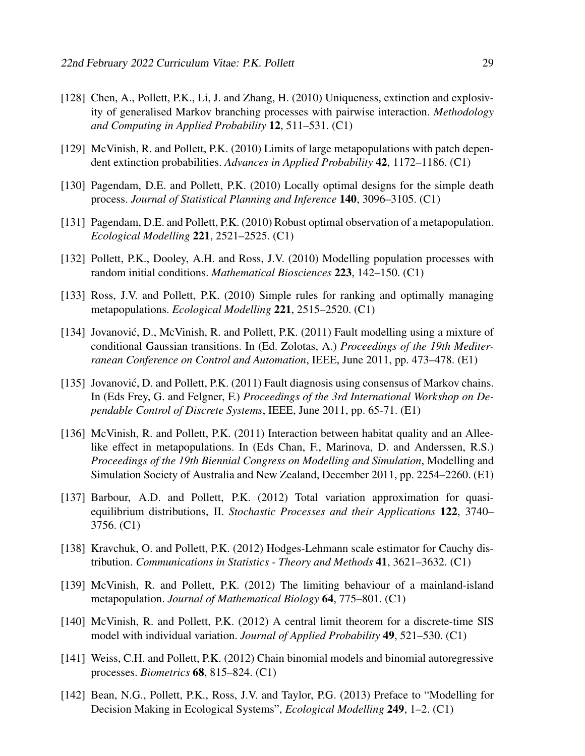- [128] Chen, A., Pollett, P.K., Li, J. and Zhang, H. (2010) Uniqueness, extinction and explosivity of generalised Markov branching processes with pairwise interaction. *Methodology and Computing in Applied Probability* 12, 511–531. (C1)
- [129] McVinish, R. and Pollett, P.K. (2010) Limits of large metapopulations with patch dependent extinction probabilities. *Advances in Applied Probability* 42, 1172–1186. (C1)
- [130] Pagendam, D.E. and Pollett, P.K. (2010) Locally optimal designs for the simple death process. *Journal of Statistical Planning and Inference* 140, 3096–3105. (C1)
- [131] Pagendam, D.E. and Pollett, P.K. (2010) Robust optimal observation of a metapopulation. *Ecological Modelling* 221, 2521–2525. (C1)
- [132] Pollett, P.K., Dooley, A.H. and Ross, J.V. (2010) Modelling population processes with random initial conditions. *Mathematical Biosciences* 223, 142–150. (C1)
- [133] Ross, J.V. and Pollett, P.K. (2010) Simple rules for ranking and optimally managing metapopulations. *Ecological Modelling* 221, 2515–2520. (C1)
- [134] Jovanović, D., McVinish, R. and Pollett, P.K. (2011) Fault modelling using a mixture of conditional Gaussian transitions. In (Ed. Zolotas, A.) *Proceedings of the 19th Mediterranean Conference on Control and Automation*, IEEE, June 2011, pp. 473–478. (E1)
- [135] Jovanović, D. and Pollett, P.K. (2011) Fault diagnosis using consensus of Markov chains. In (Eds Frey, G. and Felgner, F.) *Proceedings of the 3rd International Workshop on Dependable Control of Discrete Systems*, IEEE, June 2011, pp. 65-71. (E1)
- [136] McVinish, R. and Pollett, P.K. (2011) Interaction between habitat quality and an Alleelike effect in metapopulations. In (Eds Chan, F., Marinova, D. and Anderssen, R.S.) *Proceedings of the 19th Biennial Congress on Modelling and Simulation*, Modelling and Simulation Society of Australia and New Zealand, December 2011, pp. 2254–2260. (E1)
- [137] Barbour, A.D. and Pollett, P.K. (2012) Total variation approximation for quasiequilibrium distributions, II. *Stochastic Processes and their Applications* 122, 3740– 3756. (C1)
- [138] Kravchuk, O. and Pollett, P.K. (2012) Hodges-Lehmann scale estimator for Cauchy distribution. *Communications in Statistics - Theory and Methods* 41, 3621–3632. (C1)
- [139] McVinish, R. and Pollett, P.K. (2012) The limiting behaviour of a mainland-island metapopulation. *Journal of Mathematical Biology* 64, 775–801. (C1)
- [140] McVinish, R. and Pollett, P.K. (2012) A central limit theorem for a discrete-time SIS model with individual variation. *Journal of Applied Probability* 49, 521–530. (C1)
- [141] Weiss, C.H. and Pollett, P.K. (2012) Chain binomial models and binomial autoregressive processes. *Biometrics* 68, 815–824. (C1)
- [142] Bean, N.G., Pollett, P.K., Ross, J.V. and Taylor, P.G. (2013) Preface to "Modelling for Decision Making in Ecological Systems", *Ecological Modelling* 249, 1–2. (C1)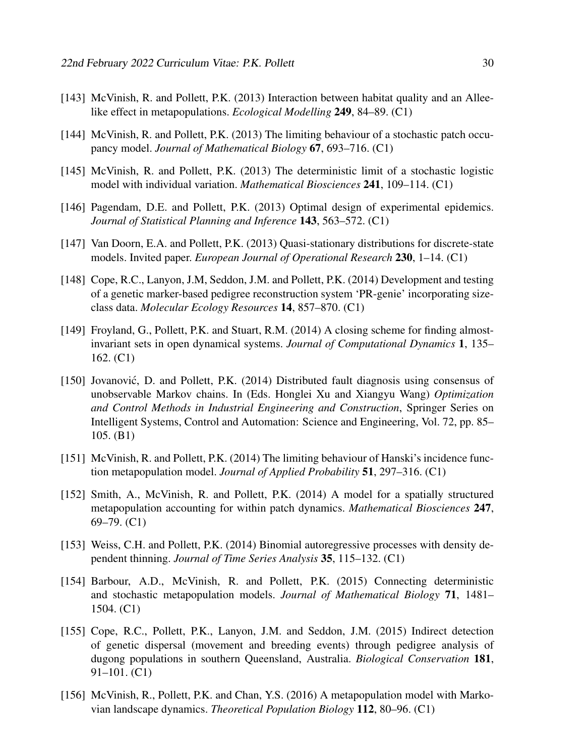- [143] McVinish, R. and Pollett, P.K. (2013) Interaction between habitat quality and an Alleelike effect in metapopulations. *Ecological Modelling* 249, 84–89. (C1)
- [144] McVinish, R. and Pollett, P.K. (2013) The limiting behaviour of a stochastic patch occupancy model. *Journal of Mathematical Biology* 67, 693–716. (C1)
- [145] McVinish, R. and Pollett, P.K. (2013) The deterministic limit of a stochastic logistic model with individual variation. *Mathematical Biosciences* 241, 109–114. (C1)
- [146] Pagendam, D.E. and Pollett, P.K. (2013) Optimal design of experimental epidemics. *Journal of Statistical Planning and Inference* 143, 563–572. (C1)
- [147] Van Doorn, E.A. and Pollett, P.K. (2013) Quasi-stationary distributions for discrete-state models. Invited paper. *European Journal of Operational Research* 230, 1–14. (C1)
- [148] Cope, R.C., Lanyon, J.M, Seddon, J.M. and Pollett, P.K. (2014) Development and testing of a genetic marker-based pedigree reconstruction system 'PR-genie' incorporating sizeclass data. *Molecular Ecology Resources* 14, 857–870. (C1)
- [149] Froyland, G., Pollett, P.K. and Stuart, R.M. (2014) A closing scheme for finding almostinvariant sets in open dynamical systems. *Journal of Computational Dynamics* 1, 135– 162. (C1)
- [150] Jovanović, D. and Pollett, P.K. (2014) Distributed fault diagnosis using consensus of unobservable Markov chains. In (Eds. Honglei Xu and Xiangyu Wang) *Optimization and Control Methods in Industrial Engineering and Construction*, Springer Series on Intelligent Systems, Control and Automation: Science and Engineering, Vol. 72, pp. 85– 105. (B1)
- [151] McVinish, R. and Pollett, P.K. (2014) The limiting behaviour of Hanski's incidence function metapopulation model. *Journal of Applied Probability* 51, 297–316. (C1)
- [152] Smith, A., McVinish, R. and Pollett, P.K. (2014) A model for a spatially structured metapopulation accounting for within patch dynamics. *Mathematical Biosciences* 247, 69–79. (C1)
- [153] Weiss, C.H. and Pollett, P.K. (2014) Binomial autoregressive processes with density dependent thinning. *Journal of Time Series Analysis* 35, 115–132. (C1)
- [154] Barbour, A.D., McVinish, R. and Pollett, P.K. (2015) Connecting deterministic and stochastic metapopulation models. *Journal of Mathematical Biology* 71, 1481– 1504. (C1)
- [155] Cope, R.C., Pollett, P.K., Lanyon, J.M. and Seddon, J.M. (2015) Indirect detection of genetic dispersal (movement and breeding events) through pedigree analysis of dugong populations in southern Queensland, Australia. *Biological Conservation* 181, 91–101. (C1)
- [156] McVinish, R., Pollett, P.K. and Chan, Y.S. (2016) A metapopulation model with Markovian landscape dynamics. *Theoretical Population Biology* 112, 80–96. (C1)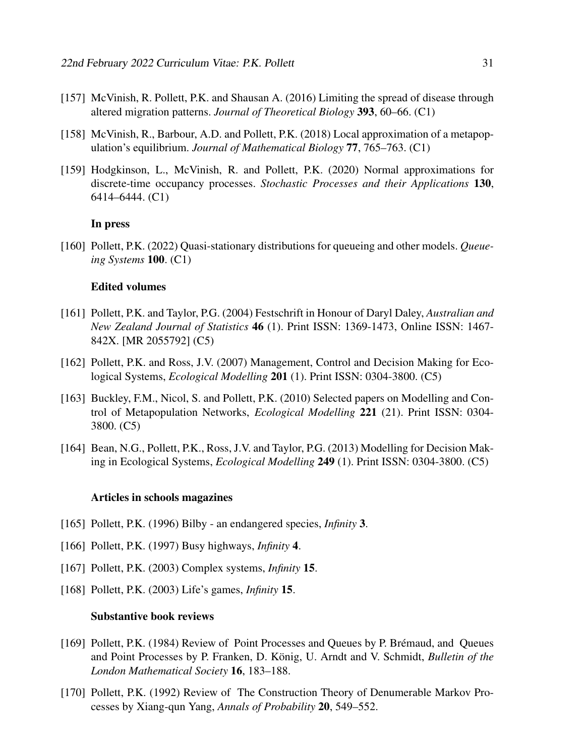- [157] McVinish, R. Pollett, P.K. and Shausan A. (2016) Limiting the spread of disease through altered migration patterns. *Journal of Theoretical Biology* 393, 60–66. (C1)
- [158] McVinish, R., Barbour, A.D. and Pollett, P.K. (2018) Local approximation of a metapopulation's equilibrium. *Journal of Mathematical Biology* 77, 765–763. (C1)
- [159] Hodgkinson, L., McVinish, R. and Pollett, P.K. (2020) Normal approximations for discrete-time occupancy processes. *Stochastic Processes and their Applications* 130, 6414–6444. (C1)

#### In press

[160] Pollett, P.K. (2022) Quasi-stationary distributions for queueing and other models. *Queueing Systems* 100. (C1)

#### Edited volumes

- [161] Pollett, P.K. and Taylor, P.G. (2004) Festschrift in Honour of Daryl Daley, *Australian and New Zealand Journal of Statistics* 46 (1). Print ISSN: 1369-1473, Online ISSN: 1467- 842X. [MR 2055792] (C5)
- [162] Pollett, P.K. and Ross, J.V. (2007) Management, Control and Decision Making for Ecological Systems, *Ecological Modelling* 201 (1). Print ISSN: 0304-3800. (C5)
- [163] Buckley, F.M., Nicol, S. and Pollett, P.K. (2010) Selected papers on Modelling and Control of Metapopulation Networks, *Ecological Modelling* 221 (21). Print ISSN: 0304- 3800. (C5)
- [164] Bean, N.G., Pollett, P.K., Ross, J.V. and Taylor, P.G. (2013) Modelling for Decision Making in Ecological Systems, *Ecological Modelling* 249 (1). Print ISSN: 0304-3800. (C5)

#### Articles in schools magazines

- [165] Pollett, P.K. (1996) Bilby an endangered species, *Infinity* 3.
- [166] Pollett, P.K. (1997) Busy highways, *Infinity* 4.
- [167] Pollett, P.K. (2003) Complex systems, *Infinity* 15.
- [168] Pollett, P.K. (2003) Life's games, *Infinity* 15.

#### Substantive book reviews

- [169] Pollett, P.K. (1984) Review of Point Processes and Queues by P. Brémaud, and Queues and Point Processes by P. Franken, D. König, U. Arndt and V. Schmidt, *Bulletin of the London Mathematical Society* 16, 183–188.
- [170] Pollett, P.K. (1992) Review of The Construction Theory of Denumerable Markov Processes by Xiang-qun Yang, *Annals of Probability* 20, 549–552.